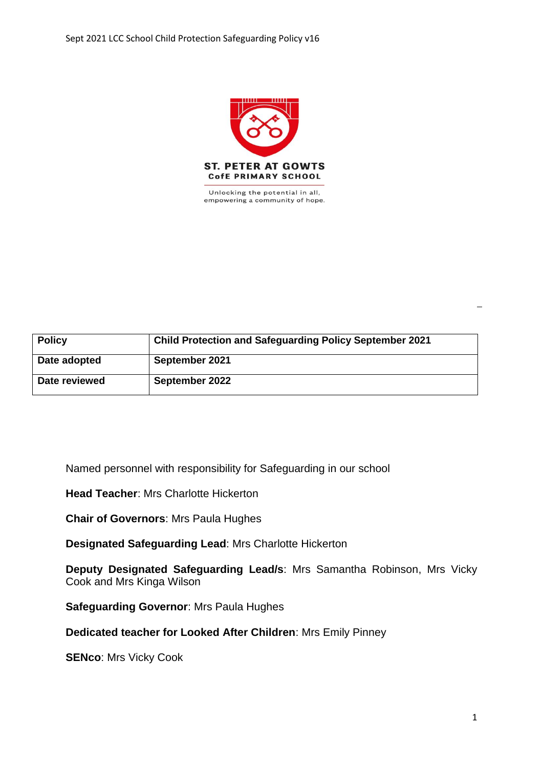

Unlocking the potential in all, empowering a community of hope.

| <b>Policy</b> | <b>Child Protection and Safeguarding Policy September 2021</b> |
|---------------|----------------------------------------------------------------|
| Date adopted  | September 2021                                                 |
| Date reviewed | September 2022                                                 |

Named personnel with responsibility for Safeguarding in our school

**Head Teacher**: Mrs Charlotte Hickerton

**Chair of Governors**: Mrs Paula Hughes

**Designated Safeguarding Lead**: Mrs Charlotte Hickerton

**Deputy Designated Safeguarding Lead/s**: Mrs Samantha Robinson, Mrs Vicky Cook and Mrs Kinga Wilson

**Safeguarding Governor**: Mrs Paula Hughes

**Dedicated teacher for Looked After Children**: Mrs Emily Pinney

**SENco**: Mrs Vicky Cook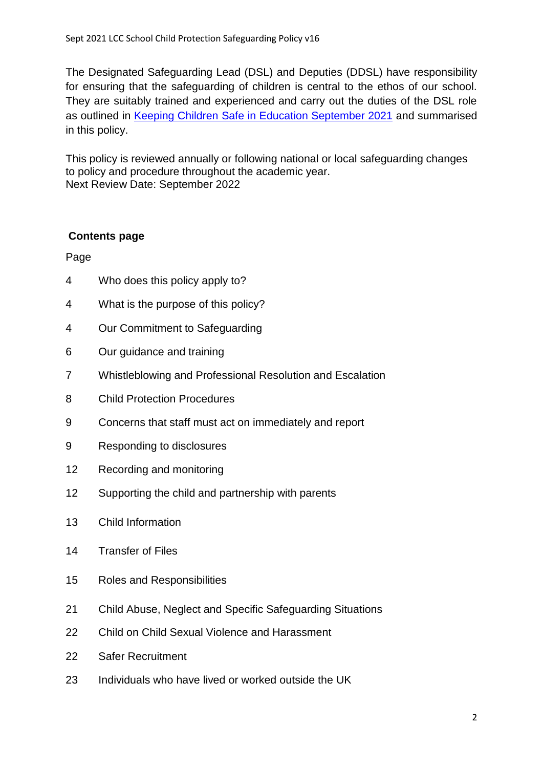The Designated Safeguarding Lead (DSL) and Deputies (DDSL) have responsibility for ensuring that the safeguarding of children is central to the ethos of our school. They are suitably trained and experienced and carry out the duties of the DSL role as outlined in [Keeping Children Safe in Education September 2021](https://www.gov.uk/government/publications/keeping-children-safe-in-education--2) and summarised in this policy.

This policy is reviewed annually or following national or local safeguarding changes to policy and procedure throughout the academic year. Next Review Date: September 2022

### **Contents page**

Page

- Who does this policy apply to?
- What is the purpose of this policy?
- Our Commitment to Safeguarding
- Our guidance and training
- Whistleblowing and Professional Resolution and Escalation
- Child Protection Procedures
- Concerns that staff must act on immediately and report
- Responding to disclosures
- Recording and monitoring
- Supporting the child and partnership with parents
- Child Information
- Transfer of Files
- Roles and Responsibilities
- Child Abuse, Neglect and Specific Safeguarding Situations
- Child on Child Sexual Violence and Harassment
- Safer Recruitment
- Individuals who have lived or worked outside the UK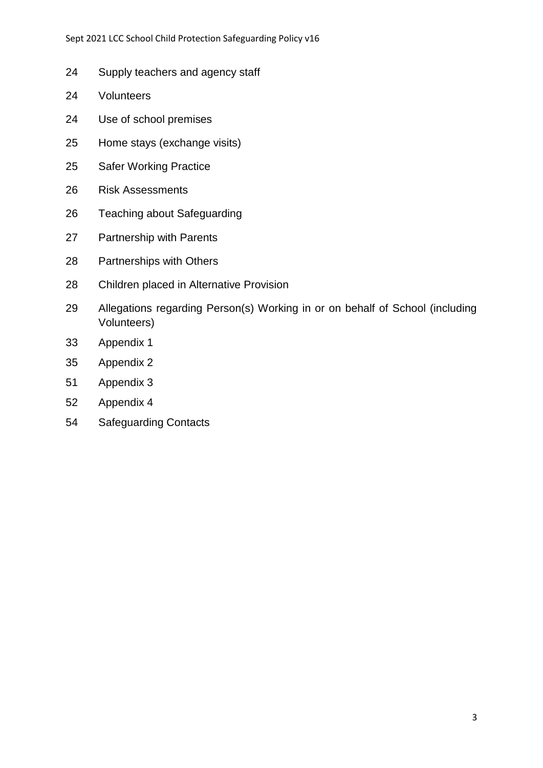- Supply teachers and agency staff
- Volunteers
- Use of school premises
- Home stays (exchange visits)
- Safer Working Practice
- Risk Assessments
- Teaching about Safeguarding
- Partnership with Parents
- Partnerships with Others
- Children placed in Alternative Provision
- Allegations regarding Person(s) Working in or on behalf of School (including Volunteers)
- Appendix 1
- Appendix 2
- Appendix 3
- Appendix 4
- Safeguarding Contacts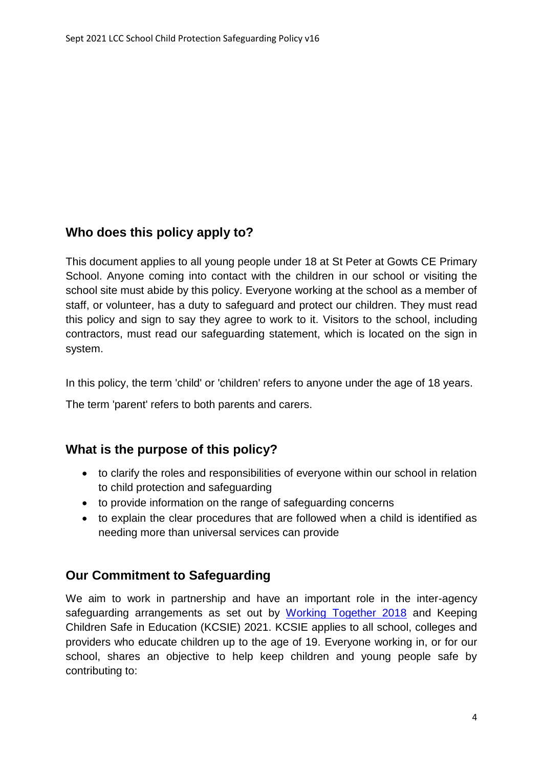# **Who does this policy apply to?**

This document applies to all young people under 18 at St Peter at Gowts CE Primary School. Anyone coming into contact with the children in our school or visiting the school site must abide by this policy. Everyone working at the school as a member of staff, or volunteer, has a duty to safeguard and protect our children. They must read this policy and sign to say they agree to work to it. Visitors to the school, including contractors, must read our safeguarding statement, which is located on the sign in system.

In this policy, the term 'child' or 'children' refers to anyone under the age of 18 years.

The term 'parent' refers to both parents and carers.

# **What is the purpose of this policy?**

- to clarify the roles and responsibilities of everyone within our school in relation to child protection and safeguarding
- to provide information on the range of safeguarding concerns
- to explain the clear procedures that are followed when a child is identified as needing more than universal services can provide

# **Our Commitment to Safeguarding**

We aim to work in partnership and have an important role in the inter-agency safeguarding arrangements as set out by [Working Together 2018](https://www.gov.uk/government/publications/working-together-to-safeguard-children--2) and Keeping Children Safe in Education (KCSIE) 2021. KCSIE applies to all school, colleges and providers who educate children up to the age of 19. Everyone working in, or for our school, shares an objective to help keep children and young people safe by contributing to: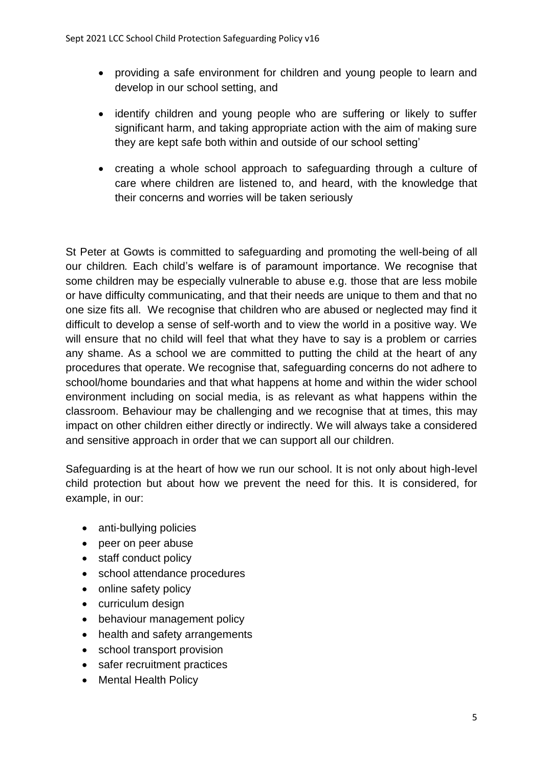- providing a safe environment for children and young people to learn and develop in our school setting, and
- identify children and young people who are suffering or likely to suffer significant harm, and taking appropriate action with the aim of making sure they are kept safe both within and outside of our school setting'
- creating a whole school approach to safeguarding through a culture of care where children are listened to, and heard, with the knowledge that their concerns and worries will be taken seriously

St Peter at Gowts is committed to safeguarding and promoting the well-being of all our children*.* Each child's welfare is of paramount importance. We recognise that some children may be especially vulnerable to abuse e.g. those that are less mobile or have difficulty communicating, and that their needs are unique to them and that no one size fits all. We recognise that children who are abused or neglected may find it difficult to develop a sense of self-worth and to view the world in a positive way. We will ensure that no child will feel that what they have to say is a problem or carries any shame. As a school we are committed to putting the child at the heart of any procedures that operate. We recognise that, safeguarding concerns do not adhere to school/home boundaries and that what happens at home and within the wider school environment including on social media, is as relevant as what happens within the classroom. Behaviour may be challenging and we recognise that at times, this may impact on other children either directly or indirectly. We will always take a considered and sensitive approach in order that we can support all our children.

Safeguarding is at the heart of how we run our school. It is not only about high-level child protection but about how we prevent the need for this. It is considered, for example, in our:

- anti-bullying policies
- peer on peer abuse
- staff conduct policy
- school attendance procedures
- online safety policy
- curriculum design
- behaviour management policy
- health and safety arrangements
- school transport provision
- safer recruitment practices
- Mental Health Policy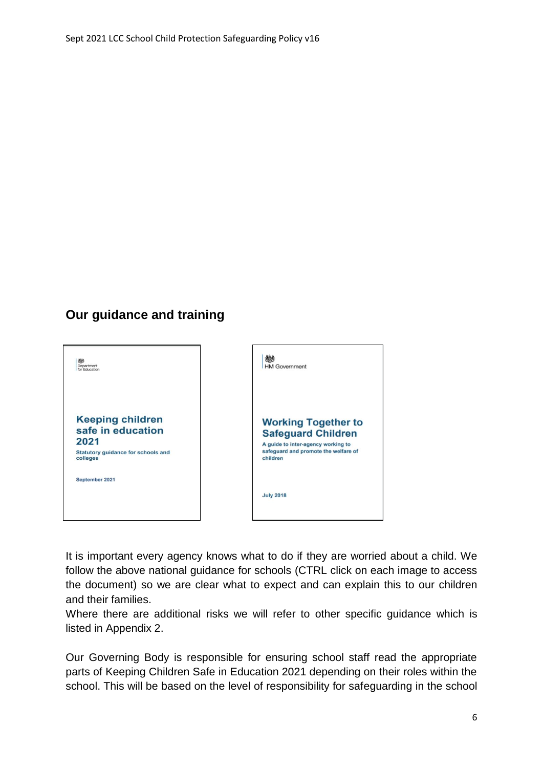# **Our guidance and training**



It is important every agency knows what to do if they are worried about a child. We follow the above national guidance for schools (CTRL click on each image to access the document) so we are clear what to expect and can explain this to our children and their families.

Where there are additional risks we will refer to other specific guidance which is listed in Appendix 2.

Our Governing Body is responsible for ensuring school staff read the appropriate parts of Keeping Children Safe in Education 2021 depending on their roles within the school. This will be based on the level of responsibility for safeguarding in the school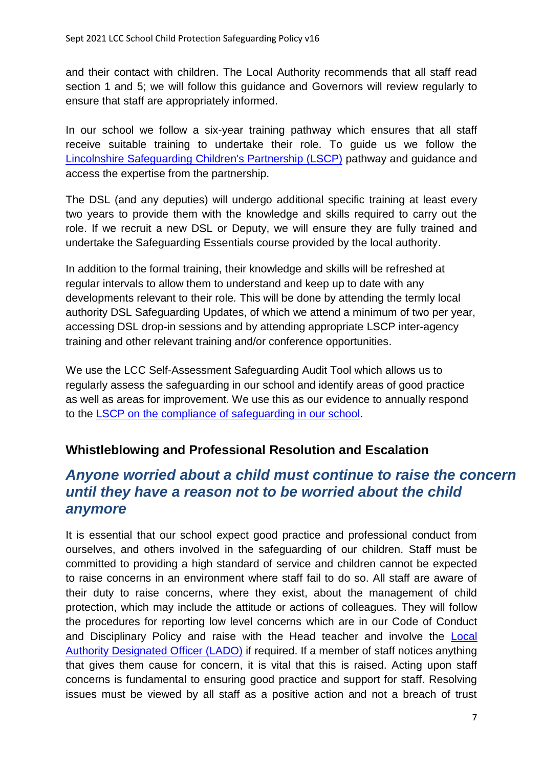and their contact with children. The Local Authority recommends that all staff read section 1 and 5; we will follow this guidance and Governors will review regularly to ensure that staff are appropriately informed.

In our school we follow a six-year training pathway which ensures that all staff receive suitable training to undertake their role. To guide us we follow the [Lincolnshire Safeguarding Children's Partnership \(LSCP\)](https://www.lincolnshire.gov.uk/safeguarding/lscp) pathway and guidance and access the expertise from the partnership.

The DSL (and any deputies) will undergo additional specific training at least every two years to provide them with the knowledge and skills required to carry out the role. If we recruit a new DSL or Deputy, we will ensure they are fully trained and undertake the Safeguarding Essentials course provided by the local authority.

In addition to the formal training, their knowledge and skills will be refreshed at regular intervals to allow them to understand and keep up to date with any developments relevant to their role*.* This will be done by attending the termly local authority DSL Safeguarding Updates, of which we attend a minimum of two per year, accessing DSL drop-in sessions and by attending appropriate LSCP inter-agency training and other relevant training and/or conference opportunities.

We use the LCC Self-Assessment Safeguarding Audit Tool which allows us to regularly assess the safeguarding in our school and identify areas of good practice as well as areas for improvement. We use this as our evidence to annually respond to the [LSCP on the compliance of safeguarding in our school.](https://lincolnshirescb.proceduresonline.com/pdfs/lscp_sch_sg_checklist.pdf)

# **Whistleblowing and Professional Resolution and Escalation**

# *Anyone worried about a child must continue to raise the concern until they have a reason not to be worried about the child anymore*

It is essential that our school expect good practice and professional conduct from ourselves, and others involved in the safeguarding of our children. Staff must be committed to providing a high standard of service and children cannot be expected to raise concerns in an environment where staff fail to do so. All staff are aware of their duty to raise concerns, where they exist, about the management of child protection, which may include the attitude or actions of colleagues. They will follow the procedures for reporting low level concerns which are in our Code of Conduct and Disciplinary Policy and raise with the Head teacher and involve the [Local](https://www.lincolnshire.gov.uk/safeguarding/lscp/7)  [Authority Designated Officer \(LADO\)](https://www.lincolnshire.gov.uk/safeguarding/lscp/7) if required. If a member of staff notices anything that gives them cause for concern, it is vital that this is raised. Acting upon staff concerns is fundamental to ensuring good practice and support for staff. Resolving issues must be viewed by all staff as a positive action and not a breach of trust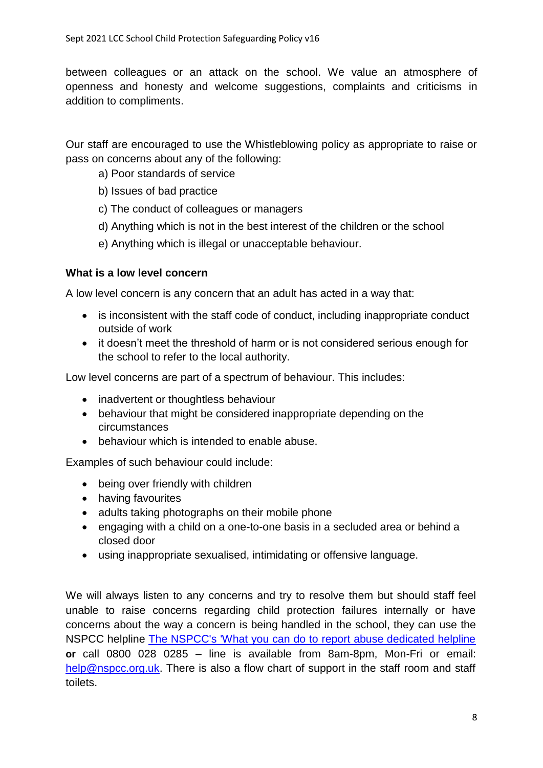between colleagues or an attack on the school. We value an atmosphere of openness and honesty and welcome suggestions, complaints and criticisms in addition to compliments.

Our staff are encouraged to use the Whistleblowing policy as appropriate to raise or pass on concerns about any of the following:

- a) Poor standards of service
- b) Issues of bad practice
- c) The conduct of colleagues or managers
- d) Anything which is not in the best interest of the children or the school
- e) Anything which is illegal or unacceptable behaviour.

#### **What is a low level concern**

A low level concern is any concern that an adult has acted in a way that:

- is inconsistent with the staff code of conduct, including inappropriate conduct outside of work
- it doesn't meet the threshold of harm or is not considered serious enough for the school to refer to the local authority.

Low level concerns are part of a spectrum of behaviour. This includes:

- inadvertent or thoughtless behaviour
- behaviour that might be considered inappropriate depending on the circumstances
- behaviour which is intended to enable abuse.

Examples of such behaviour could include:

- being over friendly with children
- having favourites
- adults taking photographs on their mobile phone
- engaging with a child on a one-to-one basis in a secluded area or behind a closed door
- using inappropriate sexualised, intimidating or offensive language.

We will always listen to any concerns and try to resolve them but should staff feel unable to raise concerns regarding child protection failures internally or have concerns about the way a concern is being handled in the school, they can use the NSPCC helpline [The NSPCC's 'What you can do to report abuse dedicated helpline](https://www.nspcc.org.uk/what-you-can-do/report-abuse/dedicated-helplines/whistleblowing-advice-line/) **or** call 0800 028 0285 – line is available from 8am-8pm, Mon-Fri or email: [help@nspcc.org.uk.](mailto:help@nspcc.org.uk) There is also a flow chart of support in the staff room and staff toilets.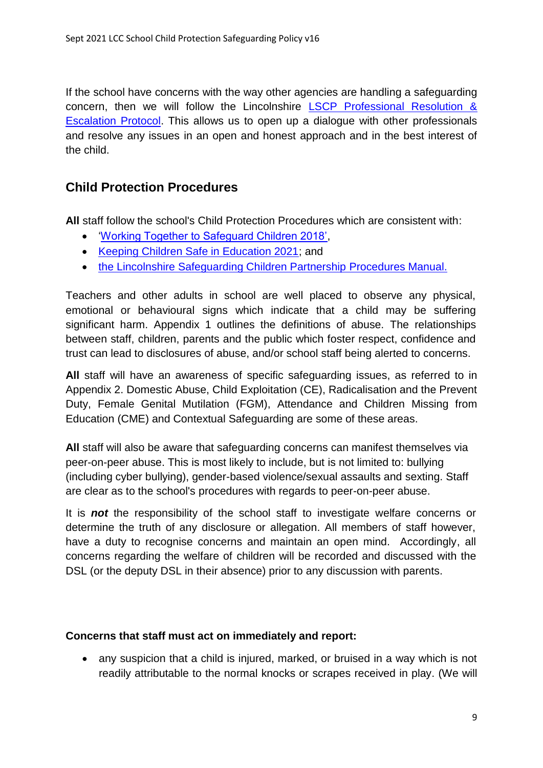If the school have concerns with the way other agencies are handling a safeguarding concern, then we will follow the Lincolnshire [LSCP Professional Resolution &](https://lincolnshirescb.proceduresonline.com/chapters/pr_prof_resolution.html)  [Escalation Protocol.](https://lincolnshirescb.proceduresonline.com/chapters/pr_prof_resolution.html) This allows us to open up a dialogue with other professionals and resolve any issues in an open and honest approach and in the best interest of the child.

# **Child Protection Procedures**

**All** staff follow the school's Child Protection Procedures which are consistent with:

- ['Working Together to Safeguard Children 2018',](https://www.gov.uk/government/publications/working-together-to-safeguard-children--2)
- [Keeping Children Safe in Education 2021;](https://www.gov.uk/government/publications/keeping-children-safe-in-education--2) and
- [the Lincolnshire Safeguarding Children Partnership Procedures Manual.](https://lincolnshirescb.proceduresonline.com/chapters/contents.html)

Teachers and other adults in school are well placed to observe any physical, emotional or behavioural signs which indicate that a child may be suffering significant harm. Appendix 1 outlines the definitions of abuse. The relationships between staff, children, parents and the public which foster respect, confidence and trust can lead to disclosures of abuse, and/or school staff being alerted to concerns.

**All** staff will have an awareness of specific safeguarding issues, as referred to in Appendix 2. Domestic Abuse, Child Exploitation (CE), Radicalisation and the Prevent Duty, Female Genital Mutilation (FGM), Attendance and Children Missing from Education (CME) and Contextual Safeguarding are some of these areas.

**All** staff will also be aware that safeguarding concerns can manifest themselves via peer-on-peer abuse. This is most likely to include, but is not limited to: bullying (including cyber bullying), gender-based violence/sexual assaults and sexting. Staff are clear as to the school's procedures with regards to peer-on-peer abuse.

It is *not* the responsibility of the school staff to investigate welfare concerns or determine the truth of any disclosure or allegation. All members of staff however, have a duty to recognise concerns and maintain an open mind. Accordingly, all concerns regarding the welfare of children will be recorded and discussed with the DSL (or the deputy DSL in their absence) prior to any discussion with parents.

### **Concerns that staff must act on immediately and report:**

• any suspicion that a child is injured, marked, or bruised in a way which is not readily attributable to the normal knocks or scrapes received in play. (We will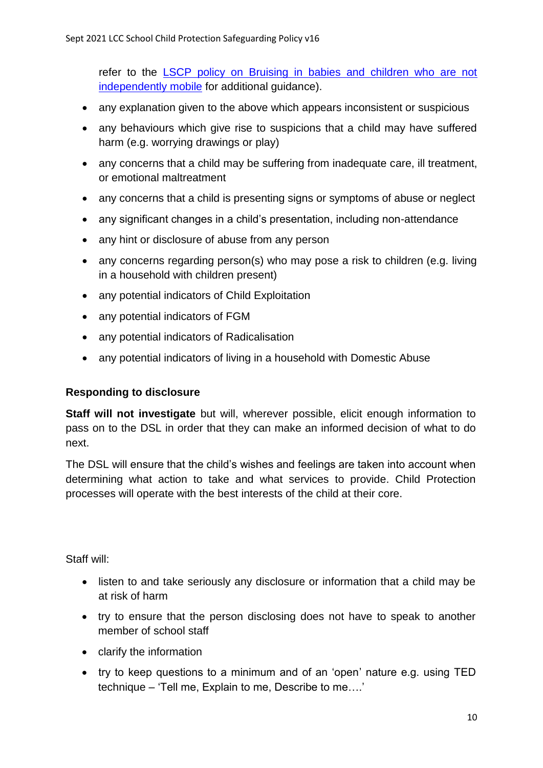refer to the [LSCP policy on Bruising in babies and children who are not](https://lincolnshirescb.proceduresonline.com/chapters/p_bruise_babies.html)  [independently mobile](https://lincolnshirescb.proceduresonline.com/chapters/p_bruise_babies.html) for additional guidance).

- any explanation given to the above which appears inconsistent or suspicious
- any behaviours which give rise to suspicions that a child may have suffered harm (e.g. worrying drawings or play)
- any concerns that a child may be suffering from inadequate care, ill treatment, or emotional maltreatment
- any concerns that a child is presenting signs or symptoms of abuse or neglect
- any significant changes in a child's presentation, including non-attendance
- any hint or disclosure of abuse from any person
- any concerns regarding person(s) who may pose a risk to children (e.g. living in a household with children present)
- any potential indicators of Child Exploitation
- any potential indicators of FGM
- any potential indicators of Radicalisation
- any potential indicators of living in a household with Domestic Abuse

#### **Responding to disclosure**

**Staff will not investigate** but will, wherever possible, elicit enough information to pass on to the DSL in order that they can make an informed decision of what to do next.

The DSL will ensure that the child's wishes and feelings are taken into account when determining what action to take and what services to provide. Child Protection processes will operate with the best interests of the child at their core.

Staff will:

- listen to and take seriously any disclosure or information that a child may be at risk of harm
- try to ensure that the person disclosing does not have to speak to another member of school staff
- clarify the information
- try to keep questions to a minimum and of an 'open' nature e.g. using TED technique – 'Tell me, Explain to me, Describe to me….'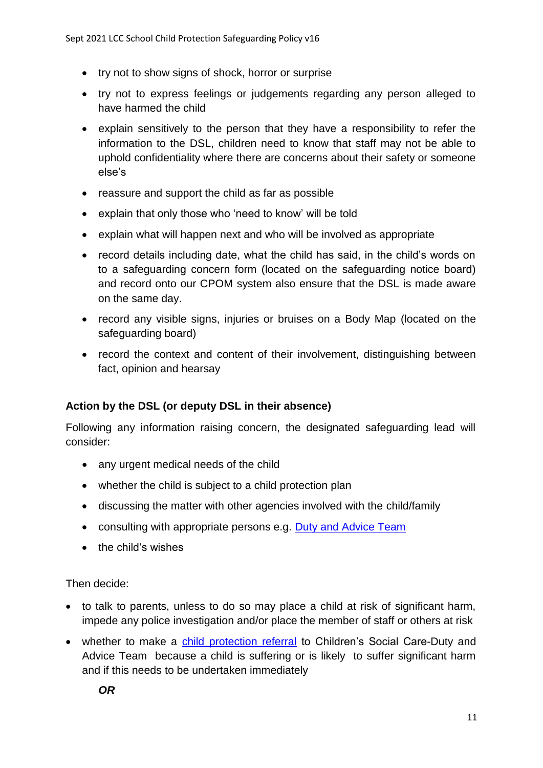- try not to show signs of shock, horror or surprise
- try not to express feelings or judgements regarding any person alleged to have harmed the child
- explain sensitively to the person that they have a responsibility to refer the information to the DSL, children need to know that staff may not be able to uphold confidentiality where there are concerns about their safety or someone else's
- reassure and support the child as far as possible
- explain that only those who 'need to know' will be told
- explain what will happen next and who will be involved as appropriate
- record details including date, what the child has said, in the child's words on to a safeguarding concern form (located on the safeguarding notice board) and record onto our CPOM system also ensure that the DSL is made aware on the same day.
- record any visible signs, injuries or bruises on a Body Map (located on the safeguarding board)
- record the context and content of their involvement, distinguishing between fact, opinion and hearsay

### **Action by the DSL (or deputy DSL in their absence)**

Following any information raising concern, the designated safeguarding lead will consider:

- any urgent medical needs of the child
- whether the child is subject to a child protection plan
- discussing the matter with other agencies involved with the child/family
- consulting with appropriate persons e.g. [Duty and Advice Team](https://www.lincolnshire.gov.uk/safeguarding/report-concern)
- the child's wishes

Then decide:

- to talk to parents, unless to do so may place a child at risk of significant harm, impede any police investigation and/or place the member of staff or others at risk
- whether to make a [child protection referral](https://www.lincolnshire.gov.uk/safeguarding/report-concern) to Children's Social Care-Duty and Advice Team because a child is suffering or is likely to suffer significant harm and if this needs to be undertaken immediately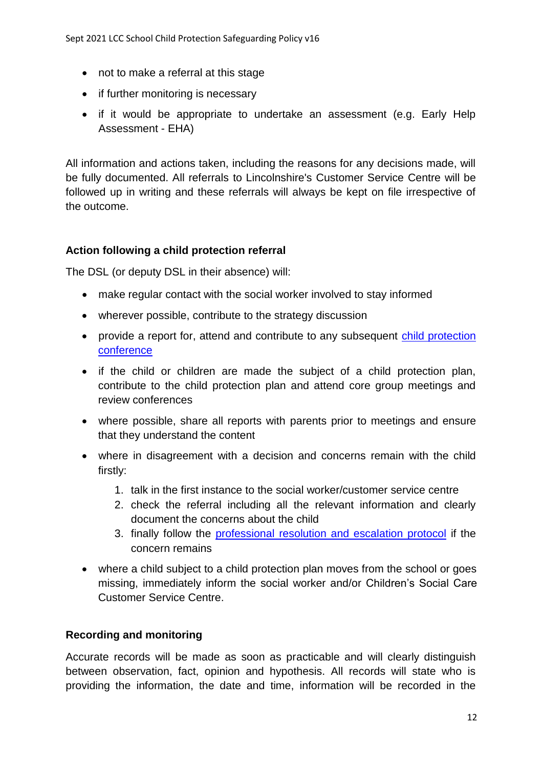- not to make a referral at this stage
- if further monitoring is necessary
- if it would be appropriate to undertake an assessment (e.g. Early Help Assessment - EHA)

All information and actions taken, including the reasons for any decisions made, will be fully documented. All referrals to Lincolnshire's Customer Service Centre will be followed up in writing and these referrals will always be kept on file irrespective of the outcome.

### **Action following a child protection referral**

The DSL (or deputy DSL in their absence) will:

- make regular contact with the social worker involved to stay informed
- wherever possible, contribute to the strategy discussion
- provide a report for, attend and contribute to any subsequent child protection **[conference](https://lincolnshirescb.proceduresonline.com/chapters/p_child_pro_rev_conf.html)**
- if the child or children are made the subject of a child protection plan, contribute to the child protection plan and attend core group meetings and review conferences
- where possible, share all reports with parents prior to meetings and ensure that they understand the content
- where in disagreement with a decision and concerns remain with the child firstly:
	- 1. talk in the first instance to the social worker/customer service centre
	- 2. check the referral including all the relevant information and clearly document the concerns about the child
	- 3. finally follow the [professional resolution and escalation protocol](https://lincolnshirescb.proceduresonline.com/chapters/pr_prof_resolution.html) if the concern remains
- where a child subject to a child protection plan moves from the school or goes missing, immediately inform the social worker and/or Children's Social Care Customer Service Centre.

### **Recording and monitoring**

Accurate records will be made as soon as practicable and will clearly distinguish between observation, fact, opinion and hypothesis. All records will state who is providing the information, the date and time, information will be recorded in the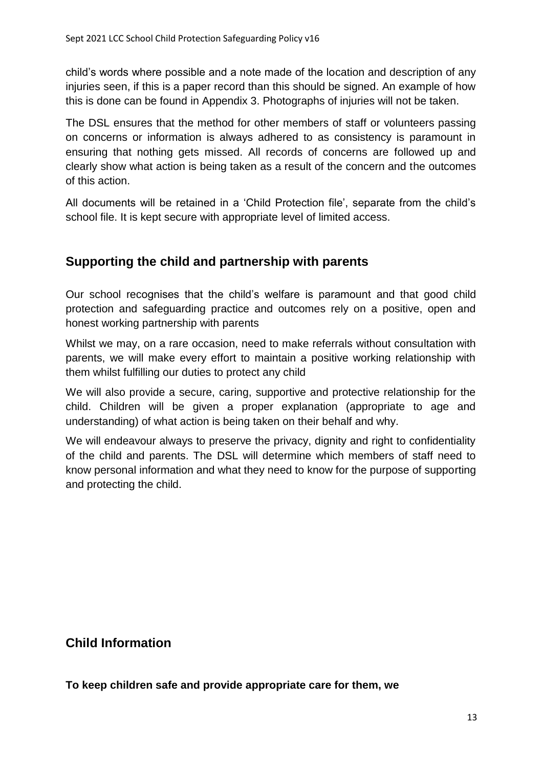child's words where possible and a note made of the location and description of any injuries seen, if this is a paper record than this should be signed. An example of how this is done can be found in Appendix 3. Photographs of injuries will not be taken.

The DSL ensures that the method for other members of staff or volunteers passing on concerns or information is always adhered to as consistency is paramount in ensuring that nothing gets missed. All records of concerns are followed up and clearly show what action is being taken as a result of the concern and the outcomes of this action.

All documents will be retained in a 'Child Protection file', separate from the child's school file. It is kept secure with appropriate level of limited access.

# **Supporting the child and partnership with parents**

Our school recognises that the child's welfare is paramount and that good child protection and safeguarding practice and outcomes rely on a positive, open and honest working partnership with parents

Whilst we may, on a rare occasion, need to make referrals without consultation with parents, we will make every effort to maintain a positive working relationship with them whilst fulfilling our duties to protect any child

We will also provide a secure, caring, supportive and protective relationship for the child. Children will be given a proper explanation (appropriate to age and understanding) of what action is being taken on their behalf and why.

We will endeavour always to preserve the privacy, dignity and right to confidentiality of the child and parents. The DSL will determine which members of staff need to know personal information and what they need to know for the purpose of supporting and protecting the child.

# **Child Information**

**To keep children safe and provide appropriate care for them, we**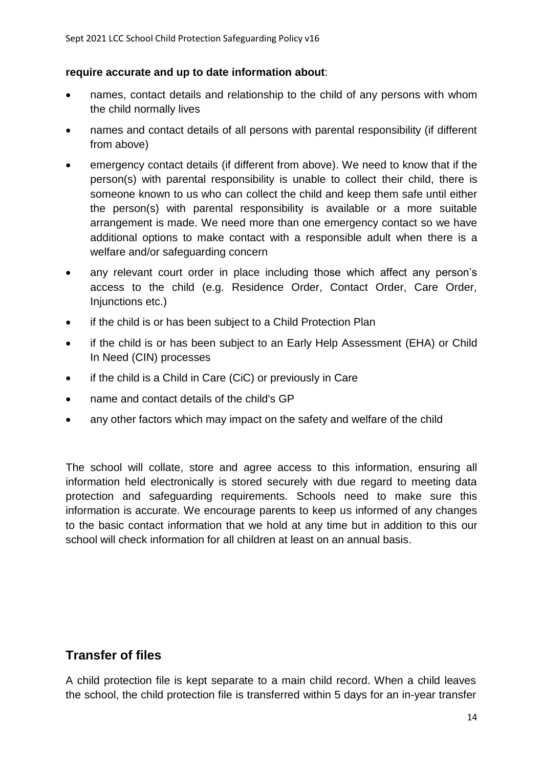#### **require accurate and up to date information about**:

- names, contact details and relationship to the child of any persons with whom the child normally lives
- names and contact details of all persons with parental responsibility (if different from above)
- emergency contact details (if different from above). We need to know that if the person(s) with parental responsibility is unable to collect their child, there is someone known to us who can collect the child and keep them safe until either the person(s) with parental responsibility is available or a more suitable arrangement is made. We need more than one emergency contact so we have additional options to make contact with a responsible adult when there is a welfare and/or safeguarding concern
- any relevant court order in place including those which affect any person's access to the child (e.g. Residence Order, Contact Order, Care Order, Injunctions etc.)
- if the child is or has been subject to a Child Protection Plan
- if the child is or has been subject to an Early Help Assessment (EHA) or Child In Need (CIN) processes
- if the child is a Child in Care (CiC) or previously in Care
- name and contact details of the child's GP
- any other factors which may impact on the safety and welfare of the child

The school will collate, store and agree access to this information, ensuring all information held electronically is stored securely with due regard to meeting data protection and safeguarding requirements. Schools need to make sure this information is accurate. We encourage parents to keep us informed of any changes to the basic contact information that we hold at any time but in addition to this our school will check information for all children at least on an annual basis.

# **Transfer of files**

A child protection file is kept separate to a main child record. When a child leaves the school, the child protection file is transferred within 5 days for an in-year transfer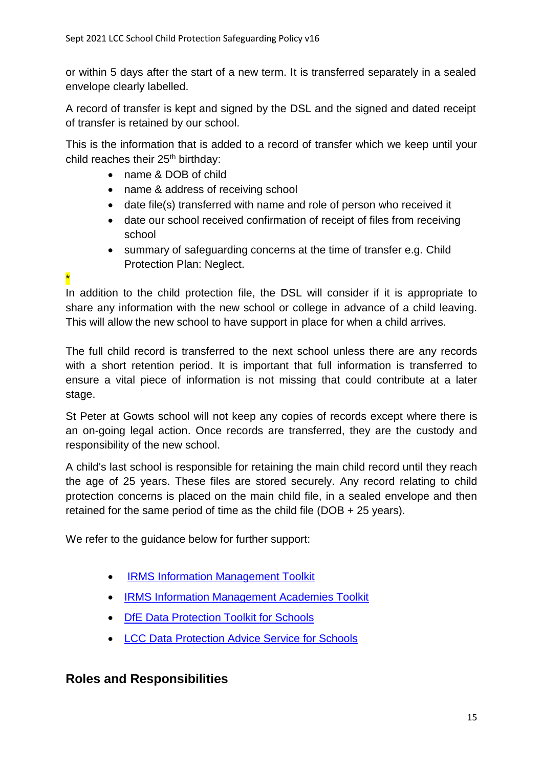or within 5 days after the start of a new term. It is transferred separately in a sealed envelope clearly labelled.

A record of transfer is kept and signed by the DSL and the signed and dated receipt of transfer is retained by our school.

This is the information that is added to a record of transfer which we keep until your child reaches their 25<sup>th</sup> birthday:

- name & DOB of child
- name & address of receiving school
- date file(s) transferred with name and role of person who received it
- date our school received confirmation of receipt of files from receiving school
- summary of safeguarding concerns at the time of transfer e.g. Child Protection Plan: Neglect.

### \*

In addition to the child protection file, the DSL will consider if it is appropriate to share any information with the new school or college in advance of a child leaving. This will allow the new school to have support in place for when a child arrives.

The full child record is transferred to the next school unless there are any records with a short retention period. It is important that full information is transferred to ensure a vital piece of information is not missing that could contribute at a later stage.

St Peter at Gowts school will not keep any copies of records except where there is an on-going legal action. Once records are transferred, they are the custody and responsibility of the new school.

A child's last school is responsible for retaining the main child record until they reach the age of 25 years. These files are stored securely. Any record relating to child protection concerns is placed on the main child file, in a sealed envelope and then retained for the same period of time as the child file (DOB + 25 years).

We refer to the guidance below for further support:

- [IRMS Information Management Toolkit](https://irms.org.uk/page/SchoolsToolkit)
- [IRMS Information Management Academies Toolkit](https://irms.org.uk/page/AcademiesToolkit)
- [DfE Data Protection Toolkit for Schools](https://www.gov.uk/government/publications/data-protection-toolkit-for-schools)
- **[LCC Data Protection Advice Service for Schools](https://www.lincolnshire.gov.uk/directory-record/63817/data-protection-advice-service)**

### **Roles and Responsibilities**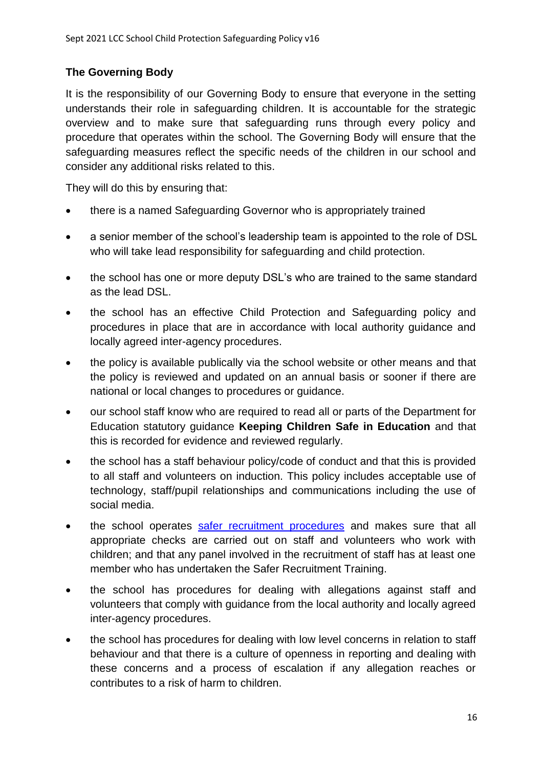### **The Governing Body**

It is the responsibility of our Governing Body to ensure that everyone in the setting understands their role in safeguarding children. It is accountable for the strategic overview and to make sure that safeguarding runs through every policy and procedure that operates within the school. The Governing Body will ensure that the safeguarding measures reflect the specific needs of the children in our school and consider any additional risks related to this.

They will do this by ensuring that:

- there is a named Safeguarding Governor who is appropriately trained
- a senior member of the school's leadership team is appointed to the role of DSL who will take lead responsibility for safeguarding and child protection.
- the school has one or more deputy DSL's who are trained to the same standard as the lead DSL.
- the school has an effective Child Protection and Safeguarding policy and procedures in place that are in accordance with local authority guidance and locally agreed inter-agency procedures.
- the policy is available publically via the school website or other means and that the policy is reviewed and updated on an annual basis or sooner if there are national or local changes to procedures or guidance.
- our school staff know who are required to read all or parts of the Department for Education statutory guidance **Keeping Children Safe in Education** and that this is recorded for evidence and reviewed regularly.
- the school has a staff behaviour policy/code of conduct and that this is provided to all staff and volunteers on induction. This policy includes acceptable use of technology, staff/pupil relationships and communications including the use of social media.
- the school operates [safer recruitment procedures](https://professionals.lincolnshire.gov.uk/downloads/download/110/recruitment-selection-and-induction?downloadID=110) and makes sure that all appropriate checks are carried out on staff and volunteers who work with children; and that any panel involved in the recruitment of staff has at least one member who has undertaken the Safer Recruitment Training.
- the school has procedures for dealing with allegations against staff and volunteers that comply with guidance from the local authority and locally agreed inter-agency procedures.
- the school has procedures for dealing with low level concerns in relation to staff behaviour and that there is a culture of openness in reporting and dealing with these concerns and a process of escalation if any allegation reaches or contributes to a risk of harm to children.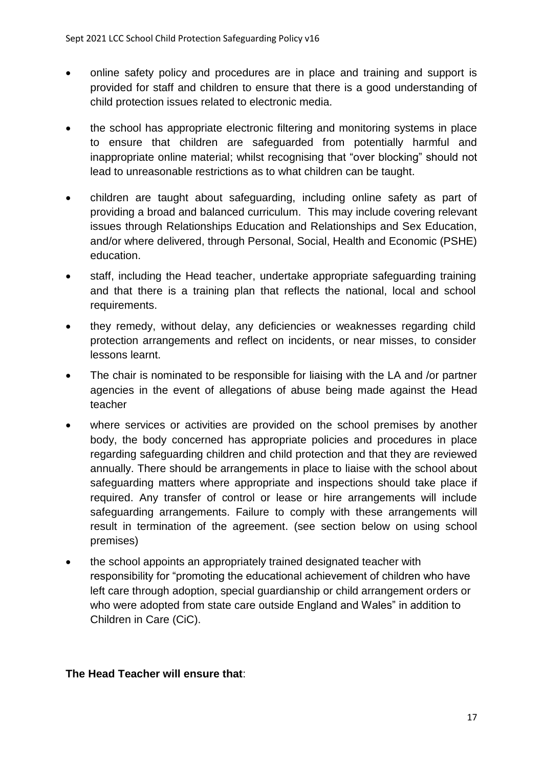- online safety policy and procedures are in place and training and support is provided for staff and children to ensure that there is a good understanding of child protection issues related to electronic media.
- the school has appropriate electronic filtering and monitoring systems in place to ensure that children are safeguarded from potentially harmful and inappropriate online material; whilst recognising that "over blocking" should not lead to unreasonable restrictions as to what children can be taught.
- children are taught about safeguarding, including online safety as part of providing a broad and balanced curriculum. This may include covering relevant issues through Relationships Education and Relationships and Sex Education, and/or where delivered, through Personal, Social, Health and Economic (PSHE) education.
- staff, including the Head teacher, undertake appropriate safeguarding training and that there is a training plan that reflects the national, local and school requirements.
- they remedy, without delay, any deficiencies or weaknesses regarding child protection arrangements and reflect on incidents, or near misses, to consider lessons learnt.
- The chair is nominated to be responsible for liaising with the LA and /or partner agencies in the event of allegations of abuse being made against the Head teacher
- where services or activities are provided on the school premises by another body, the body concerned has appropriate policies and procedures in place regarding safeguarding children and child protection and that they are reviewed annually. There should be arrangements in place to liaise with the school about safeguarding matters where appropriate and inspections should take place if required. Any transfer of control or lease or hire arrangements will include safeguarding arrangements. Failure to comply with these arrangements will result in termination of the agreement. (see section below on using school premises)
- the school appoints an appropriately trained designated teacher with responsibility for "promoting the educational achievement of children who have left care through adoption, special guardianship or child arrangement orders or who were adopted from state care outside England and Wales" in addition to Children in Care (CiC).

### **The Head Teacher will ensure that**: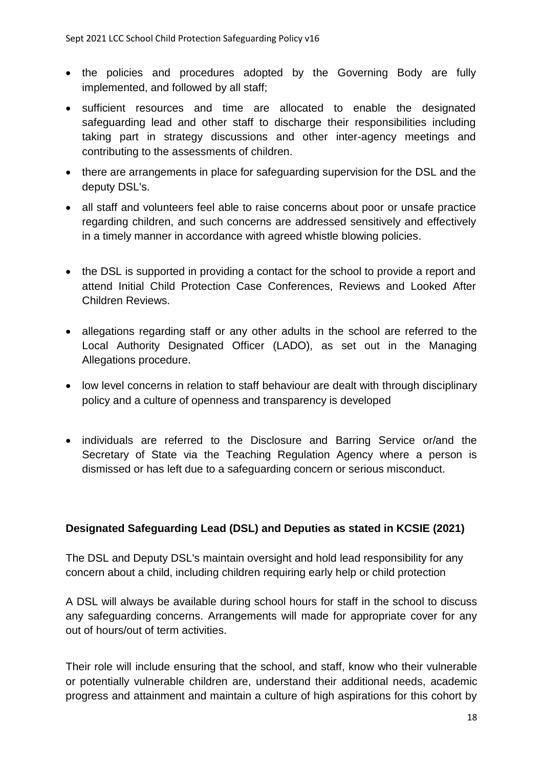- the policies and procedures adopted by the Governing Body are fully implemented, and followed by all staff;
- sufficient resources and time are allocated to enable the designated safeguarding lead and other staff to discharge their responsibilities including taking part in strategy discussions and other inter-agency meetings and contributing to the assessments of children.
- there are arrangements in place for safeguarding supervision for the DSL and the deputy DSL's.
- all staff and volunteers feel able to raise concerns about poor or unsafe practice regarding children, and such concerns are addressed sensitively and effectively in a timely manner in accordance with agreed whistle blowing policies.
- the DSL is supported in providing a contact for the school to provide a report and attend Initial Child Protection Case Conferences, Reviews and Looked After Children Reviews.
- allegations regarding staff or any other adults in the school are referred to the Local Authority Designated Officer (LADO), as set out in the Managing Allegations procedure.
- low level concerns in relation to staff behaviour are dealt with through disciplinary policy and a culture of openness and transparency is developed
- individuals are referred to the Disclosure and Barring Service or/and the Secretary of State via the Teaching Regulation Agency where a person is dismissed or has left due to a safeguarding concern or serious misconduct.

### **Designated Safeguarding Lead (DSL) and Deputies as stated in KCSIE (2021)**

The DSL and Deputy DSL's maintain oversight and hold lead responsibility for any concern about a child, including children requiring early help or child protection

A DSL will always be available during school hours for staff in the school to discuss any safeguarding concerns. Arrangements will made for appropriate cover for any out of hours/out of term activities.

Their role will include ensuring that the school, and staff, know who their vulnerable or potentially vulnerable children are, understand their additional needs, academic progress and attainment and maintain a culture of high aspirations for this cohort by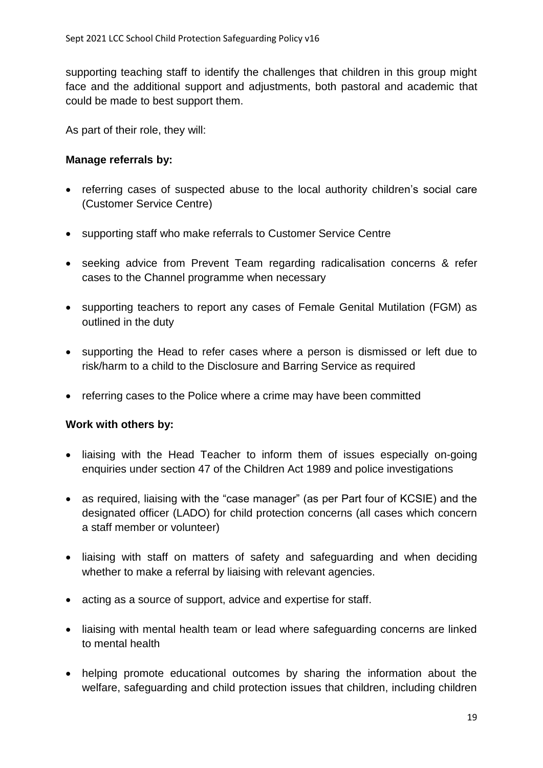supporting teaching staff to identify the challenges that children in this group might face and the additional support and adjustments, both pastoral and academic that could be made to best support them.

As part of their role, they will:

#### **Manage referrals by:**

- referring cases of suspected abuse to the local authority children's social care (Customer Service Centre)
- supporting staff who make referrals to Customer Service Centre
- seeking advice from Prevent Team regarding radicalisation concerns & refer cases to the Channel programme when necessary
- supporting teachers to report any cases of Female Genital Mutilation (FGM) as outlined in the duty
- supporting the Head to refer cases where a person is dismissed or left due to risk/harm to a child to the Disclosure and Barring Service as required
- referring cases to the Police where a crime may have been committed

#### **Work with others by:**

- liaising with the Head Teacher to inform them of issues especially on-going enquiries under section 47 of the Children Act 1989 and police investigations
- as required, liaising with the "case manager" (as per Part four of KCSIE) and the designated officer (LADO) for child protection concerns (all cases which concern a staff member or volunteer)
- liaising with staff on matters of safety and safeguarding and when deciding whether to make a referral by liaising with relevant agencies.
- acting as a source of support, advice and expertise for staff.
- liaising with mental health team or lead where safeguarding concerns are linked to mental health
- helping promote educational outcomes by sharing the information about the welfare, safeguarding and child protection issues that children, including children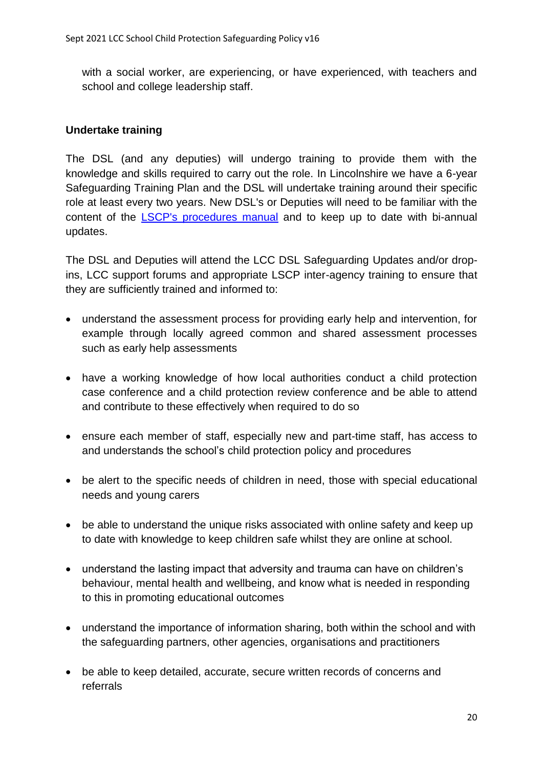with a social worker, are experiencing, or have experienced, with teachers and school and college leadership staff.

### **Undertake training**

The DSL (and any deputies) will undergo training to provide them with the knowledge and skills required to carry out the role. In Lincolnshire we have a 6-year Safeguarding Training Plan and the DSL will undertake training around their specific role at least every two years. New DSL's or Deputies will need to be familiar with the content of the [LSCP's procedures manual](https://lincolnshirescb.proceduresonline.com/chapters/contents.html) and to keep up to date with bi-annual updates.

The DSL and Deputies will attend the LCC DSL Safeguarding Updates and/or dropins, LCC support forums and appropriate LSCP inter-agency training to ensure that they are sufficiently trained and informed to:

- understand the assessment process for providing early help and intervention, for example through locally agreed common and shared assessment processes such as early help assessments
- have a working knowledge of how local authorities conduct a child protection case conference and a child protection review conference and be able to attend and contribute to these effectively when required to do so
- ensure each member of staff, especially new and part-time staff, has access to and understands the school's child protection policy and procedures
- be alert to the specific needs of children in need, those with special educational needs and young carers
- be able to understand the unique risks associated with online safety and keep up to date with knowledge to keep children safe whilst they are online at school.
- understand the lasting impact that adversity and trauma can have on children's behaviour, mental health and wellbeing, and know what is needed in responding to this in promoting educational outcomes
- understand the importance of information sharing, both within the school and with the safeguarding partners, other agencies, organisations and practitioners
- be able to keep detailed, accurate, secure written records of concerns and referrals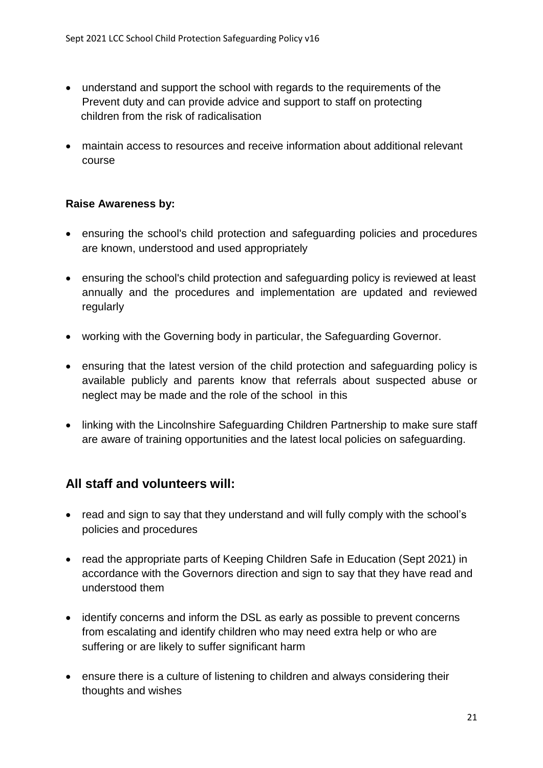- understand and support the school with regards to the requirements of the Prevent duty and can provide advice and support to staff on protecting children from the risk of radicalisation
- maintain access to resources and receive information about additional relevant course

### **Raise Awareness by:**

- ensuring the school's child protection and safeguarding policies and procedures are known, understood and used appropriately
- ensuring the school's child protection and safeguarding policy is reviewed at least annually and the procedures and implementation are updated and reviewed regularly
- working with the Governing body in particular, the Safeguarding Governor.
- ensuring that the latest version of the child protection and safeguarding policy is available publicly and parents know that referrals about suspected abuse or neglect may be made and the role of the school in this
- linking with the Lincolnshire Safeguarding Children Partnership to make sure staff are aware of training opportunities and the latest local policies on safeguarding.

# **All staff and volunteers will:**

- read and sign to say that they understand and will fully comply with the school's policies and procedures
- read the appropriate parts of Keeping Children Safe in Education (Sept 2021) in accordance with the Governors direction and sign to say that they have read and understood them
- identify concerns and inform the DSL as early as possible to prevent concerns from escalating and identify children who may need extra help or who are suffering or are likely to suffer significant harm
- ensure there is a culture of listening to children and always considering their thoughts and wishes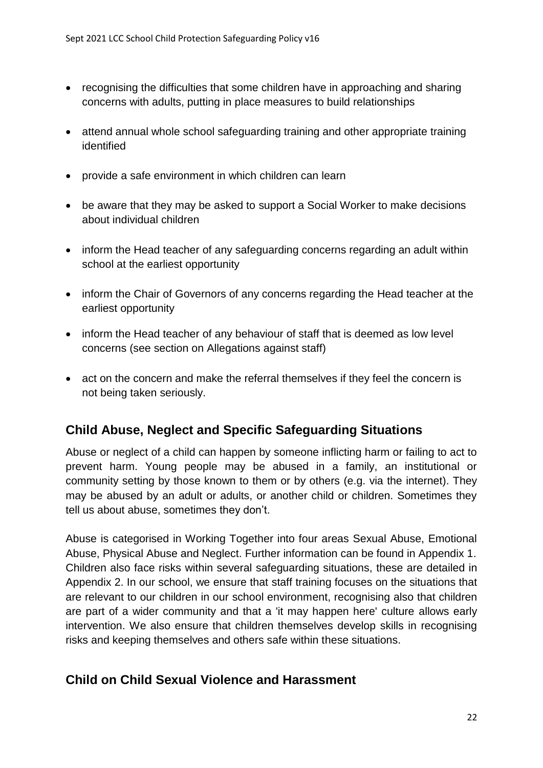- recognising the difficulties that some children have in approaching and sharing concerns with adults, putting in place measures to build relationships
- attend annual whole school safeguarding training and other appropriate training identified
- provide a safe environment in which children can learn
- be aware that they may be asked to support a Social Worker to make decisions about individual children
- inform the Head teacher of any safeguarding concerns regarding an adult within school at the earliest opportunity
- inform the Chair of Governors of any concerns regarding the Head teacher at the earliest opportunity
- inform the Head teacher of any behaviour of staff that is deemed as low level concerns (see section on Allegations against staff)
- act on the concern and make the referral themselves if they feel the concern is not being taken seriously.

# **Child Abuse, Neglect and Specific Safeguarding Situations**

Abuse or neglect of a child can happen by someone inflicting harm or failing to act to prevent harm. Young people may be abused in a family, an institutional or community setting by those known to them or by others (e.g. via the internet). They may be abused by an adult or adults, or another child or children. Sometimes they tell us about abuse, sometimes they don't.

Abuse is categorised in Working Together into four areas Sexual Abuse, Emotional Abuse, Physical Abuse and Neglect. Further information can be found in Appendix 1. Children also face risks within several safeguarding situations, these are detailed in Appendix 2. In our school, we ensure that staff training focuses on the situations that are relevant to our children in our school environment, recognising also that children are part of a wider community and that a 'it may happen here' culture allows early intervention. We also ensure that children themselves develop skills in recognising risks and keeping themselves and others safe within these situations.

# **Child on Child Sexual Violence and Harassment**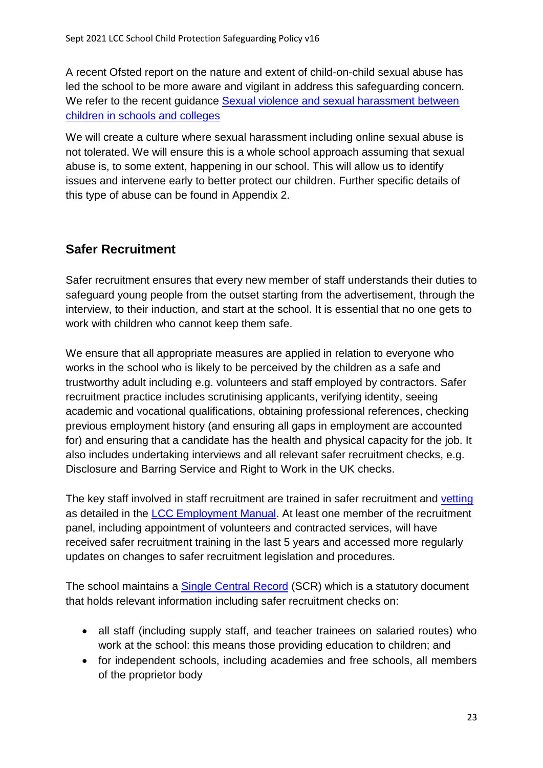A recent Ofsted report on the nature and extent of child-on-child sexual abuse has led the school to be more aware and vigilant in address this safeguarding concern. We refer to the recent guidance [Sexual violence and sexual harassment between](https://www.gov.uk/government/publications/sexual-violence-and-sexual-harassment-between-children-in-schools-and-colleges)  [children in schools and colleges](https://www.gov.uk/government/publications/sexual-violence-and-sexual-harassment-between-children-in-schools-and-colleges)

We will create a culture where sexual harassment including online sexual abuse is not tolerated. We will ensure this is a whole school approach assuming that sexual abuse is, to some extent, happening in our school. This will allow us to identify issues and intervene early to better protect our children. Further specific details of this type of abuse can be found in Appendix 2.

# **Safer Recruitment**

Safer recruitment ensures that every new member of staff understands their duties to safeguard young people from the outset starting from the advertisement, through the interview, to their induction, and start at the school. It is essential that no one gets to work with children who cannot keep them safe.

We ensure that all appropriate measures are applied in relation to everyone who works in the school who is likely to be perceived by the children as a safe and trustworthy adult including e.g. volunteers and staff employed by contractors. Safer recruitment practice includes scrutinising applicants, verifying identity, seeing academic and vocational qualifications, obtaining professional references, checking previous employment history (and ensuring all gaps in employment are accounted for) and ensuring that a candidate has the health and physical capacity for the job. It also includes undertaking interviews and all relevant safer recruitment checks, e.g. Disclosure and Barring Service and Right to Work in the UK checks.

The key staff involved in staff recruitment are trained in safer recruitment and [vetting](https://professionals.lincolnshire.gov.uk/downloads/file/1783/school-recruitment-and-vetting-checks-policy) as detailed in the [LCC Employment Manual.](https://professionals.lincolnshire.gov.uk/schools-employment-manual) At least one member of the recruitment panel, including appointment of volunteers and contracted services, will have received safer recruitment training in the last 5 years and accessed more regularly updates on changes to safer recruitment legislation and procedures.

The school maintains a [Single Central Record](https://professionals.lincolnshire.gov.uk/downloads/file/713/appendix-12b-single-central-record-guidance-notes) (SCR) which is a statutory document that holds relevant information including safer recruitment checks on:

- all staff (including supply staff, and teacher trainees on salaried routes) who work at the school: this means those providing education to children; and
- for independent schools, including academies and free schools, all members of the proprietor body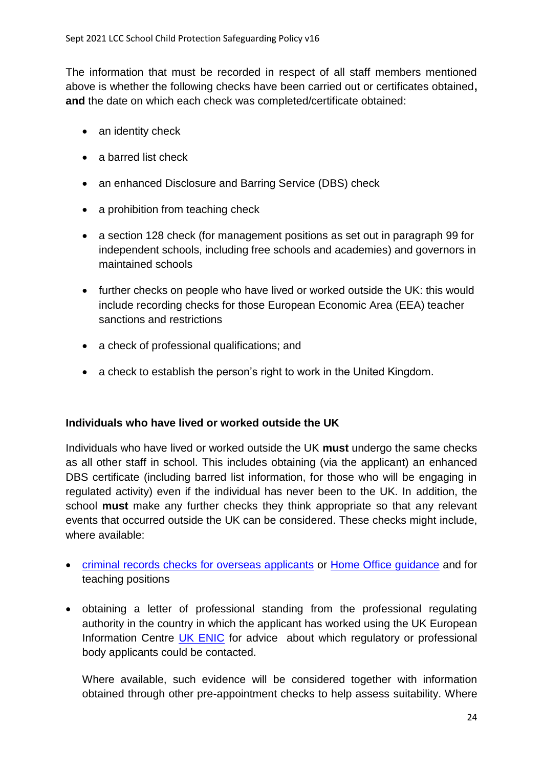The information that must be recorded in respect of all staff members mentioned above is whether the following checks have been carried out or certificates obtained**, and** the date on which each check was completed/certificate obtained:

- an identity check
- a barred list check
- an enhanced Disclosure and Barring Service (DBS) check
- a prohibition from teaching check
- a section 128 check (for management positions as set out in paragraph 99 for independent schools, including free schools and academies) and governors in maintained schools
- further checks on people who have lived or worked outside the UK: this would include recording checks for those European Economic Area (EEA) teacher sanctions and restrictions
- a check of professional qualifications; and
- a check to establish the person's right to work in the United Kingdom.

### **Individuals who have lived or worked outside the UK**

Individuals who have lived or worked outside the UK **must** undergo the same checks as all other staff in school. This includes obtaining (via the applicant) an enhanced DBS certificate (including barred list information, for those who will be engaging in regulated activity) even if the individual has never been to the UK. In addition, the school **must** make any further checks they think appropriate so that any relevant events that occurred outside the UK can be considered. These checks might include, where available:

- [criminal records checks for overseas applicants](https://www.gov.uk/government/publications/criminal-records-checks-for-overseas-applicants) or [Home Office guidance](https://www.gov.uk/guidance/recruit-teachers-from-overseas) and for teaching positions
- obtaining a letter of professional standing from the professional regulating authority in the country in which the applicant has worked using the UK European Information Centre [UK ENIC](https://www.enic.org.uk/) for advice about which regulatory or professional body applicants could be contacted.

Where available, such evidence will be considered together with information obtained through other pre-appointment checks to help assess suitability. Where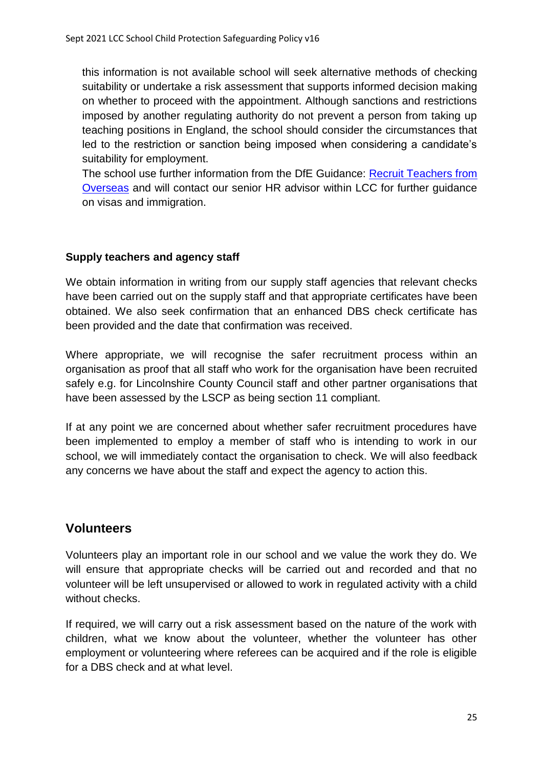this information is not available school will seek alternative methods of checking suitability or undertake a risk assessment that supports informed decision making on whether to proceed with the appointment. Although sanctions and restrictions imposed by another regulating authority do not prevent a person from taking up teaching positions in England, the school should consider the circumstances that led to the restriction or sanction being imposed when considering a candidate's suitability for employment.

The school use further information from the DfE Guidance: [Recruit Teachers from](https://gbr01.safelinks.protection.outlook.com/?url=https%3A%2F%2Fwww.gov.uk%2Fguidance%2Frecruit-teachers-from-overseas%3Futm_medium%3Demail%26utm_campaign%3Dgovuk-notifications%26utm_source%3Dfbf8683d-de0b-4272-a762-dbb622d6ab50%26utm_content%3Ddaily&data=04%7C01%7CJill.Chandar-Nair%40lincolnshire.gov.uk%7C2311cbbdcab14e8624e008d94c5a7ece%7Cb4e05b92f8ce46b59b2499ba5c11e5e9%7C0%7C0%7C637624774458706598%7CUnknown%7CTWFpbGZsb3d8eyJWIjoiMC4wLjAwMDAiLCJQIjoiV2luMzIiLCJBTiI6Ik1haWwiLCJXVCI6Mn0%3D%7C1000&sdata=YG4Kf8aIXXvQOZnu%2BHeB03uDTMK0bWgQI36Y7Dyttb0%3D&reserved=0)  [Overseas](https://gbr01.safelinks.protection.outlook.com/?url=https%3A%2F%2Fwww.gov.uk%2Fguidance%2Frecruit-teachers-from-overseas%3Futm_medium%3Demail%26utm_campaign%3Dgovuk-notifications%26utm_source%3Dfbf8683d-de0b-4272-a762-dbb622d6ab50%26utm_content%3Ddaily&data=04%7C01%7CJill.Chandar-Nair%40lincolnshire.gov.uk%7C2311cbbdcab14e8624e008d94c5a7ece%7Cb4e05b92f8ce46b59b2499ba5c11e5e9%7C0%7C0%7C637624774458706598%7CUnknown%7CTWFpbGZsb3d8eyJWIjoiMC4wLjAwMDAiLCJQIjoiV2luMzIiLCJBTiI6Ik1haWwiLCJXVCI6Mn0%3D%7C1000&sdata=YG4Kf8aIXXvQOZnu%2BHeB03uDTMK0bWgQI36Y7Dyttb0%3D&reserved=0) and will contact our senior HR advisor within LCC for further guidance on visas and immigration.

### **Supply teachers and agency staff**

We obtain information in writing from our supply staff agencies that relevant checks have been carried out on the supply staff and that appropriate certificates have been obtained. We also seek confirmation that an enhanced DBS check certificate has been provided and the date that confirmation was received.

Where appropriate, we will recognise the safer recruitment process within an organisation as proof that all staff who work for the organisation have been recruited safely e.g. for Lincolnshire County Council staff and other partner organisations that have been assessed by the LSCP as being section 11 compliant.

If at any point we are concerned about whether safer recruitment procedures have been implemented to employ a member of staff who is intending to work in our school, we will immediately contact the organisation to check. We will also feedback any concerns we have about the staff and expect the agency to action this.

# **Volunteers**

Volunteers play an important role in our school and we value the work they do. We will ensure that appropriate checks will be carried out and recorded and that no volunteer will be left unsupervised or allowed to work in regulated activity with a child without checks.

If required, we will carry out a risk assessment based on the nature of the work with children, what we know about the volunteer, whether the volunteer has other employment or volunteering where referees can be acquired and if the role is eligible for a DBS check and at what level.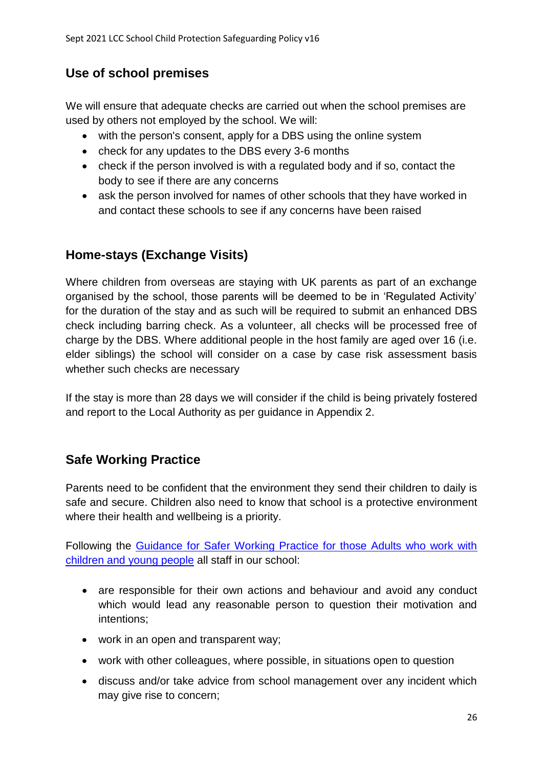# **Use of school premises**

We will ensure that adequate checks are carried out when the school premises are used by others not employed by the school. We will:

- with the person's consent, apply for a DBS using the online system
- check for any updates to the DBS every 3-6 months
- check if the person involved is with a regulated body and if so, contact the body to see if there are any concerns
- ask the person involved for names of other schools that they have worked in and contact these schools to see if any concerns have been raised

# **Home-stays (Exchange Visits)**

Where children from overseas are staying with UK parents as part of an exchange organised by the school, those parents will be deemed to be in 'Regulated Activity' for the duration of the stay and as such will be required to submit an enhanced DBS check including barring check. As a volunteer, all checks will be processed free of charge by the DBS. Where additional people in the host family are aged over 16 (i.e. elder siblings) the school will consider on a case by case risk assessment basis whether such checks are necessary

If the stay is more than 28 days we will consider if the child is being privately fostered and report to the Local Authority as per guidance in Appendix 2.

# **Safe Working Practice**

Parents need to be confident that the environment they send their children to daily is safe and secure. Children also need to know that school is a protective environment where their health and wellbeing is a priority.

Following the [Guidance for Safer Working Practice for those Adults who work with](https://c-cluster-110.uploads.documents.cimpress.io/v1/uploads/13ecce28-e8f2-49e9-83c6-c29337cd8071~110/original?tenant=vbu-digital)  [children and young people](https://c-cluster-110.uploads.documents.cimpress.io/v1/uploads/13ecce28-e8f2-49e9-83c6-c29337cd8071~110/original?tenant=vbu-digital) all staff in our school:

- are responsible for their own actions and behaviour and avoid any conduct which would lead any reasonable person to question their motivation and intentions;
- work in an open and transparent way;
- work with other colleagues, where possible, in situations open to question
- discuss and/or take advice from school management over any incident which may give rise to concern;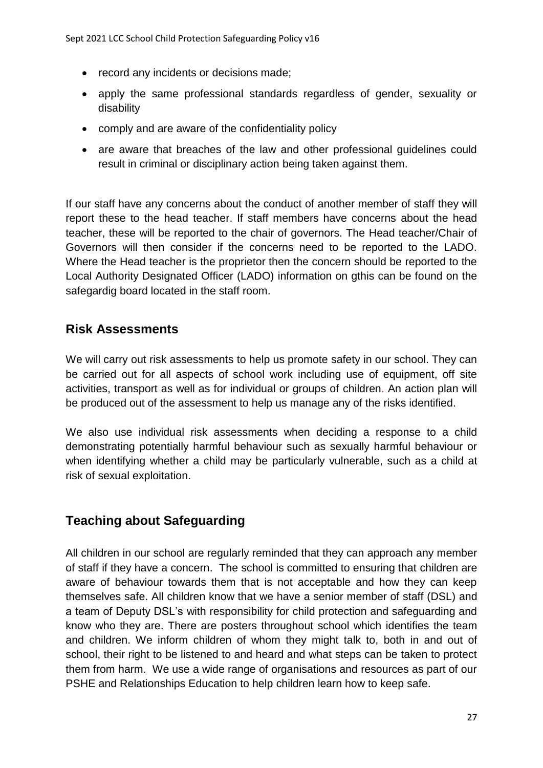- record any incidents or decisions made;
- apply the same professional standards regardless of gender, sexuality or disability
- comply and are aware of the confidentiality policy
- are aware that breaches of the law and other professional guidelines could result in criminal or disciplinary action being taken against them.

If our staff have any concerns about the conduct of another member of staff they will report these to the head teacher. If staff members have concerns about the head teacher, these will be reported to the chair of governors. The Head teacher/Chair of Governors will then consider if the concerns need to be reported to the LADO. Where the Head teacher is the proprietor then the concern should be reported to the Local Authority Designated Officer (LADO) information on gthis can be found on the safegardig board located in the staff room.

### **Risk Assessments**

We will carry out risk assessments to help us promote safety in our school. They can be carried out for all aspects of school work including use of equipment, off site activities, transport as well as for individual or groups of children. An action plan will be produced out of the assessment to help us manage any of the risks identified.

We also use individual risk assessments when deciding a response to a child demonstrating potentially harmful behaviour such as sexually harmful behaviour or when identifying whether a child may be particularly vulnerable, such as a child at risk of sexual exploitation.

# **Teaching about Safeguarding**

All children in our school are regularly reminded that they can approach any member of staff if they have a concern. The school is committed to ensuring that children are aware of behaviour towards them that is not acceptable and how they can keep themselves safe. All children know that we have a senior member of staff (DSL) and a team of Deputy DSL's with responsibility for child protection and safeguarding and know who they are. There are posters throughout school which identifies the team and children. We inform children of whom they might talk to, both in and out of school, their right to be listened to and heard and what steps can be taken to protect them from harm. We use a wide range of organisations and resources as part of our PSHE and Relationships Education to help children learn how to keep safe.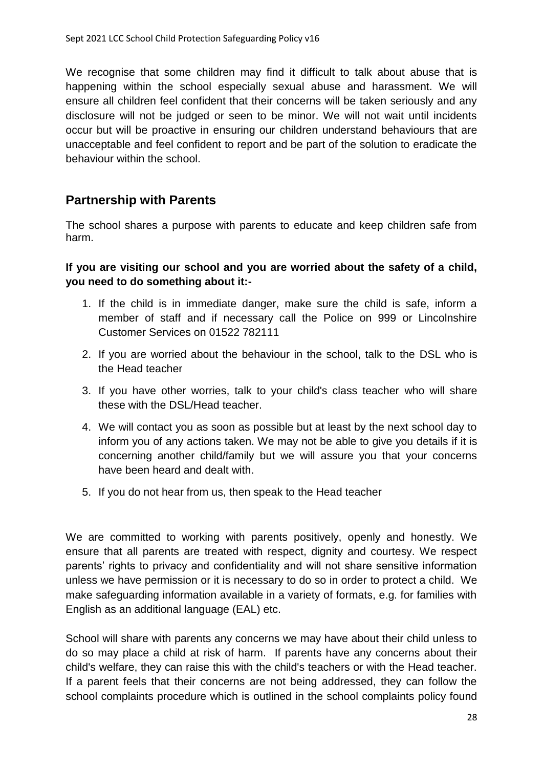We recognise that some children may find it difficult to talk about abuse that is happening within the school especially sexual abuse and harassment. We will ensure all children feel confident that their concerns will be taken seriously and any disclosure will not be judged or seen to be minor. We will not wait until incidents occur but will be proactive in ensuring our children understand behaviours that are unacceptable and feel confident to report and be part of the solution to eradicate the behaviour within the school.

# **Partnership with Parents**

The school shares a purpose with parents to educate and keep children safe from harm.

### **If you are visiting our school and you are worried about the safety of a child, you need to do something about it:-**

- 1. If the child is in immediate danger, make sure the child is safe, inform a member of staff and if necessary call the Police on 999 or Lincolnshire Customer Services on 01522 782111
- 2. If you are worried about the behaviour in the school, talk to the DSL who is the Head teacher
- 3. If you have other worries, talk to your child's class teacher who will share these with the DSL/Head teacher.
- 4. We will contact you as soon as possible but at least by the next school day to inform you of any actions taken. We may not be able to give you details if it is concerning another child/family but we will assure you that your concerns have been heard and dealt with.
- 5. If you do not hear from us, then speak to the Head teacher

We are committed to working with parents positively, openly and honestly. We ensure that all parents are treated with respect, dignity and courtesy. We respect parents' rights to privacy and confidentiality and will not share sensitive information unless we have permission or it is necessary to do so in order to protect a child. We make safeguarding information available in a variety of formats, e.g. for families with English as an additional language (EAL) etc.

School will share with parents any concerns we may have about their child unless to do so may place a child at risk of harm. If parents have any concerns about their child's welfare, they can raise this with the child's teachers or with the Head teacher. If a parent feels that their concerns are not being addressed, they can follow the school complaints procedure which is outlined in the school complaints policy found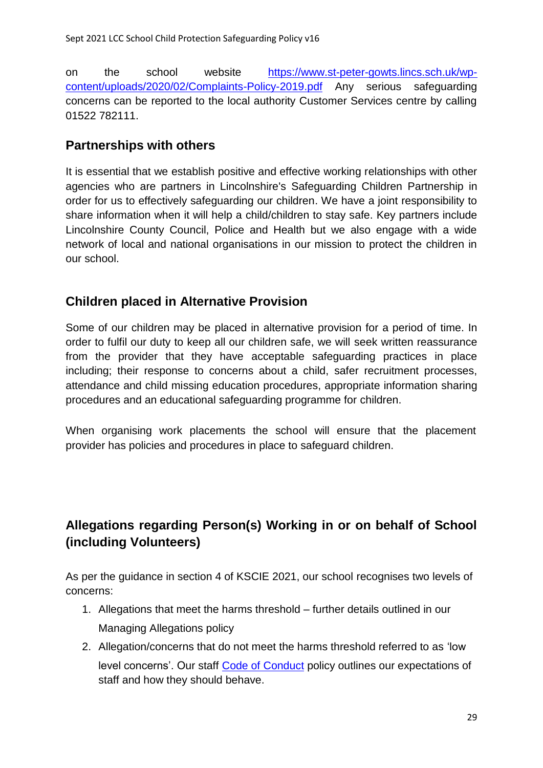on the school website [https://www.st-peter-gowts.lincs.sch.uk/wp](https://www.st-peter-gowts.lincs.sch.uk/wp-content/uploads/2020/02/Complaints-Policy-2019.pdf)[content/uploads/2020/02/Complaints-Policy-2019.pdf](https://www.st-peter-gowts.lincs.sch.uk/wp-content/uploads/2020/02/Complaints-Policy-2019.pdf) Any serious safeguarding concerns can be reported to the local authority Customer Services centre by calling 01522 782111.

### **Partnerships with others**

It is essential that we establish positive and effective working relationships with other agencies who are partners in Lincolnshire's Safeguarding Children Partnership in order for us to effectively safeguarding our children. We have a joint responsibility to share information when it will help a child/children to stay safe. Key partners include Lincolnshire County Council, Police and Health but we also engage with a wide network of local and national organisations in our mission to protect the children in our school.

### **Children placed in Alternative Provision**

Some of our children may be placed in alternative provision for a period of time. In order to fulfil our duty to keep all our children safe, we will seek written reassurance from the provider that they have acceptable safeguarding practices in place including; their response to concerns about a child, safer recruitment processes, attendance and child missing education procedures, appropriate information sharing procedures and an educational safeguarding programme for children.

When organising work placements the school will ensure that the placement provider has policies and procedures in place to safeguard children.

# **Allegations regarding Person(s) Working in or on behalf of School (including Volunteers)**

As per the guidance in section 4 of KSCIE 2021, our school recognises two levels of concerns:

- 1. Allegations that meet the harms threshold further details outlined in our Managing Allegations policy
- 2. Allegation/concerns that do not meet the harms threshold referred to as 'low level concerns'. Our staff [Code of Conduct](https://www.lincolnshire.gov.uk/employment-policies/code-conduct) policy outlines our expectations of staff and how they should behave.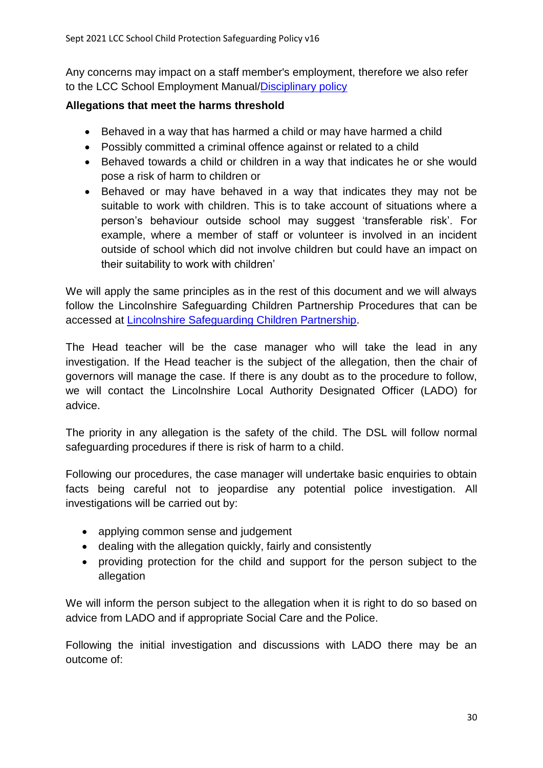Any concerns may impact on a staff member's employment, therefore we also refer to the LCC School Employment Manual[/Disciplinary policy](https://professionals.lincolnshire.gov.uk/downloads/file/1780/employee-discipline)

### **Allegations that meet the harms threshold**

- Behaved in a way that has harmed a child or may have harmed a child
- Possibly committed a criminal offence against or related to a child
- Behaved towards a child or children in a way that indicates he or she would pose a risk of harm to children or
- Behaved or may have behaved in a way that indicates they may not be suitable to work with children. This is to take account of situations where a person's behaviour outside school may suggest 'transferable risk'. For example, where a member of staff or volunteer is involved in an incident outside of school which did not involve children but could have an impact on their suitability to work with children'

We will apply the same principles as in the rest of this document and we will always follow the Lincolnshire Safeguarding Children Partnership Procedures that can be accessed at [Lincolnshire Safeguarding Children Partnership.](https://lincolnshirescb.proceduresonline.com/chapters/contents.html)

The Head teacher will be the case manager who will take the lead in any investigation. If the Head teacher is the subject of the allegation, then the chair of governors will manage the case. If there is any doubt as to the procedure to follow, we will contact the Lincolnshire Local Authority Designated Officer (LADO) for advice.

The priority in any allegation is the safety of the child. The DSL will follow normal safeguarding procedures if there is risk of harm to a child.

Following our procedures, the case manager will undertake basic enquiries to obtain facts being careful not to jeopardise any potential police investigation. All investigations will be carried out by:

- applying common sense and judgement
- dealing with the allegation quickly, fairly and consistently
- providing protection for the child and support for the person subject to the allegation

We will inform the person subject to the allegation when it is right to do so based on advice from LADO and if appropriate Social Care and the Police.

Following the initial investigation and discussions with LADO there may be an outcome of: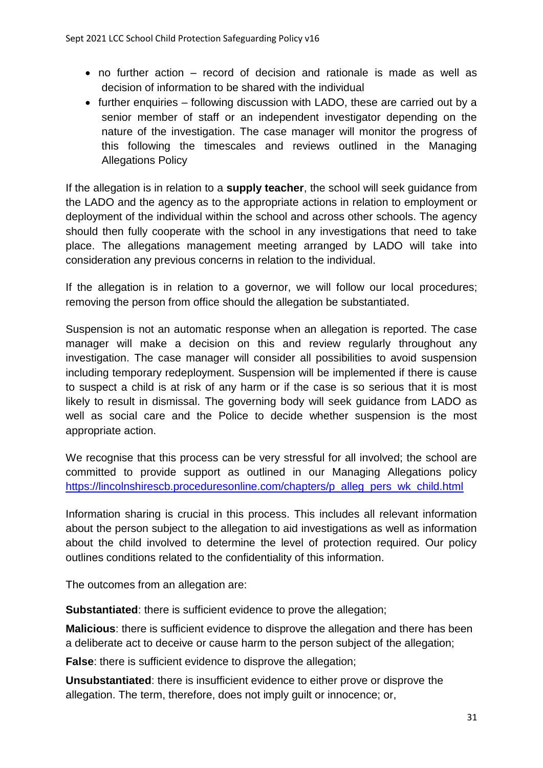- no further action record of decision and rationale is made as well as decision of information to be shared with the individual
- further enquiries following discussion with LADO, these are carried out by a senior member of staff or an independent investigator depending on the nature of the investigation. The case manager will monitor the progress of this following the timescales and reviews outlined in the Managing **Allegations Policy**

If the allegation is in relation to a **supply teacher**, the school will seek guidance from the LADO and the agency as to the appropriate actions in relation to employment or deployment of the individual within the school and across other schools. The agency should then fully cooperate with the school in any investigations that need to take place. The allegations management meeting arranged by LADO will take into consideration any previous concerns in relation to the individual.

If the allegation is in relation to a governor, we will follow our local procedures; removing the person from office should the allegation be substantiated.

Suspension is not an automatic response when an allegation is reported. The case manager will make a decision on this and review regularly throughout any investigation. The case manager will consider all possibilities to avoid suspension including temporary redeployment. Suspension will be implemented if there is cause to suspect a child is at risk of any harm or if the case is so serious that it is most likely to result in dismissal. The governing body will seek guidance from LADO as well as social care and the Police to decide whether suspension is the most appropriate action.

We recognise that this process can be very stressful for all involved; the school are committed to provide support as outlined in our Managing Allegations policy [https://lincolnshirescb.proceduresonline.com/chapters/p\\_alleg\\_pers\\_wk\\_child.html](https://lincolnshirescb.proceduresonline.com/chapters/p_alleg_pers_wk_child.html)

Information sharing is crucial in this process. This includes all relevant information about the person subject to the allegation to aid investigations as well as information about the child involved to determine the level of protection required. Our policy outlines conditions related to the confidentiality of this information.

The outcomes from an allegation are:

**Substantiated:** there is sufficient evidence to prove the allegation;

**Malicious**: there is sufficient evidence to disprove the allegation and there has been a deliberate act to deceive or cause harm to the person subject of the allegation;

**False:** there is sufficient evidence to disprove the allegation;

**Unsubstantiated**: there is insufficient evidence to either prove or disprove the allegation. The term, therefore, does not imply guilt or innocence; or,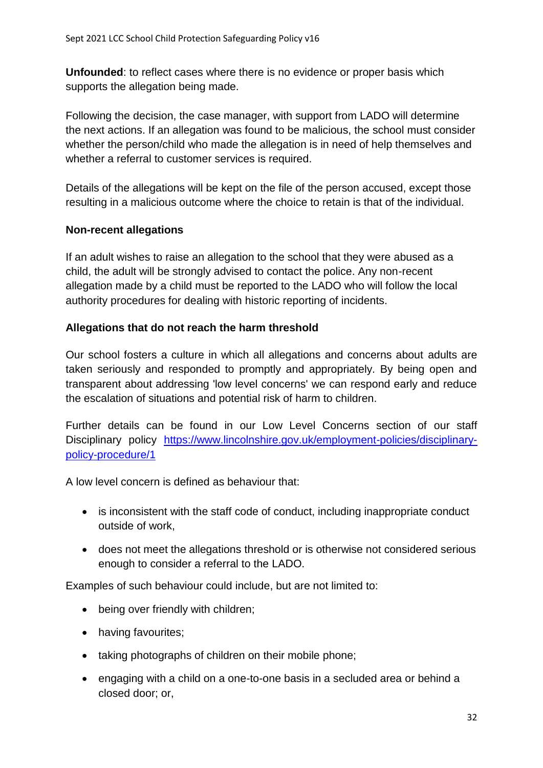**Unfounded**: to reflect cases where there is no evidence or proper basis which supports the allegation being made.

Following the decision, the case manager, with support from LADO will determine the next actions. If an allegation was found to be malicious, the school must consider whether the person/child who made the allegation is in need of help themselves and whether a referral to customer services is required.

Details of the allegations will be kept on the file of the person accused, except those resulting in a malicious outcome where the choice to retain is that of the individual.

### **Non-recent allegations**

If an adult wishes to raise an allegation to the school that they were abused as a child, the adult will be strongly advised to contact the police. Any non-recent allegation made by a child must be reported to the LADO who will follow the local authority procedures for dealing with historic reporting of incidents.

### **Allegations that do not reach the harm threshold**

Our school fosters a culture in which all allegations and concerns about adults are taken seriously and responded to promptly and appropriately. By being open and transparent about addressing 'low level concerns' we can respond early and reduce the escalation of situations and potential risk of harm to children.

Further details can be found in our Low Level Concerns section of our staff Disciplinary policy [https://www.lincolnshire.gov.uk/employment-policies/disciplinary](https://www.lincolnshire.gov.uk/employment-policies/disciplinary-policy-procedure/1)[policy-procedure/1](https://www.lincolnshire.gov.uk/employment-policies/disciplinary-policy-procedure/1)

A low level concern is defined as behaviour that:

- is inconsistent with the staff code of conduct, including inappropriate conduct outside of work,
- does not meet the allegations threshold or is otherwise not considered serious enough to consider a referral to the LADO.

Examples of such behaviour could include, but are not limited to:

- being over friendly with children;
- having favourites;
- taking photographs of children on their mobile phone;
- engaging with a child on a one-to-one basis in a secluded area or behind a closed door; or,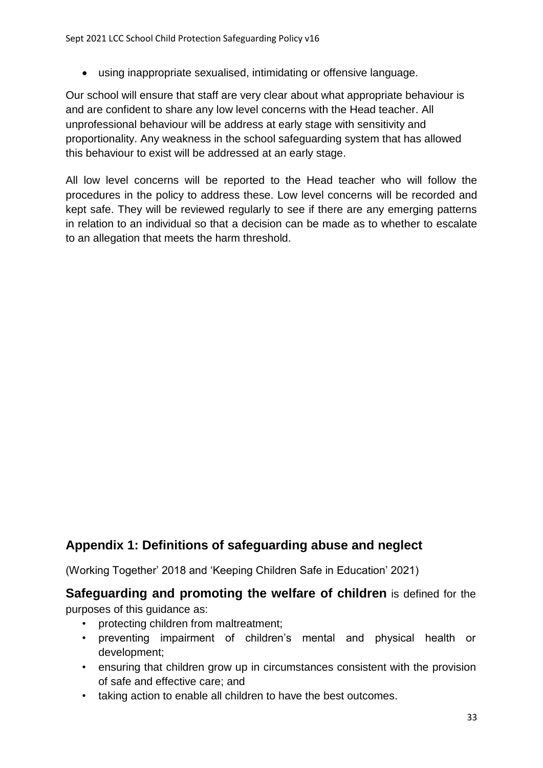• using inappropriate sexualised, intimidating or offensive language.

Our school will ensure that staff are very clear about what appropriate behaviour is and are confident to share any low level concerns with the Head teacher. All unprofessional behaviour will be address at early stage with sensitivity and proportionality. Any weakness in the school safeguarding system that has allowed this behaviour to exist will be addressed at an early stage.

All low level concerns will be reported to the Head teacher who will follow the procedures in the policy to address these. Low level concerns will be recorded and kept safe. They will be reviewed regularly to see if there are any emerging patterns in relation to an individual so that a decision can be made as to whether to escalate to an allegation that meets the harm threshold.

# **Appendix 1: Definitions of safeguarding abuse and neglect**

(Working Together' 2018 and 'Keeping Children Safe in Education' 2021)

**Safeguarding and promoting the welfare of children** is defined for the purposes of this guidance as:

- protecting children from maltreatment;
- preventing impairment of children's mental and physical health or development;
- ensuring that children grow up in circumstances consistent with the provision of safe and effective care; and
- taking action to enable all children to have the best outcomes.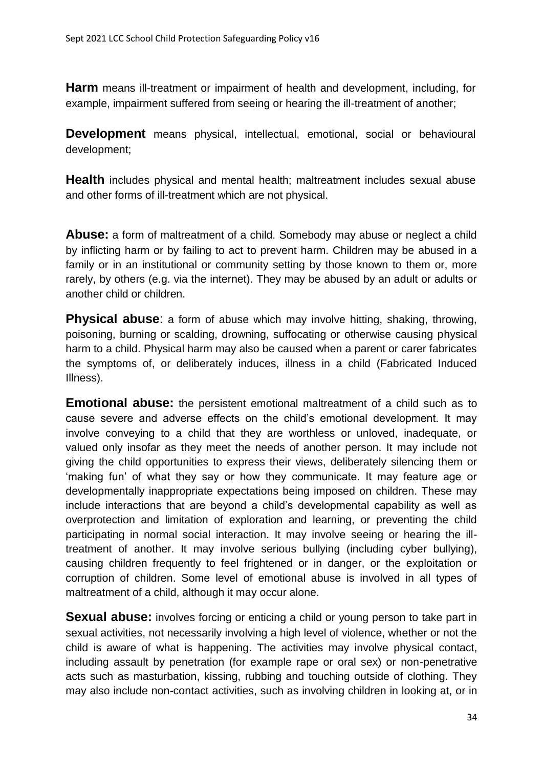**Harm** means ill-treatment or impairment of health and development, including, for example, impairment suffered from seeing or hearing the ill-treatment of another;

**Development** means physical, intellectual, emotional, social or behavioural development;

**Health** includes physical and mental health; maltreatment includes sexual abuse and other forms of ill-treatment which are not physical.

**Abuse:** a form of maltreatment of a child. Somebody may abuse or neglect a child by inflicting harm or by failing to act to prevent harm. Children may be abused in a family or in an institutional or community setting by those known to them or, more rarely, by others (e.g. via the internet). They may be abused by an adult or adults or another child or children.

**Physical abuse:** a form of abuse which may involve hitting, shaking, throwing, poisoning, burning or scalding, drowning, suffocating or otherwise causing physical harm to a child. Physical harm may also be caused when a parent or carer fabricates the symptoms of, or deliberately induces, illness in a child (Fabricated Induced Illness).

**Emotional abuse:** the persistent emotional maltreatment of a child such as to cause severe and adverse effects on the child's emotional development. It may involve conveying to a child that they are worthless or unloved, inadequate, or valued only insofar as they meet the needs of another person. It may include not giving the child opportunities to express their views, deliberately silencing them or 'making fun' of what they say or how they communicate. It may feature age or developmentally inappropriate expectations being imposed on children. These may include interactions that are beyond a child's developmental capability as well as overprotection and limitation of exploration and learning, or preventing the child participating in normal social interaction. It may involve seeing or hearing the illtreatment of another. It may involve serious bullying (including cyber bullying), causing children frequently to feel frightened or in danger, or the exploitation or corruption of children. Some level of emotional abuse is involved in all types of maltreatment of a child, although it may occur alone.

**Sexual abuse:** involves forcing or enticing a child or young person to take part in sexual activities, not necessarily involving a high level of violence, whether or not the child is aware of what is happening. The activities may involve physical contact, including assault by penetration (for example rape or oral sex) or non-penetrative acts such as masturbation, kissing, rubbing and touching outside of clothing. They may also include non-contact activities, such as involving children in looking at, or in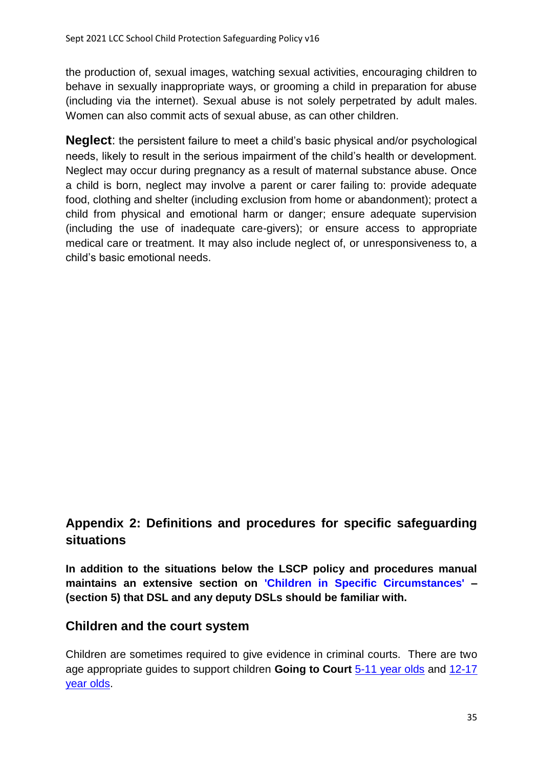the production of, sexual images, watching sexual activities, encouraging children to behave in sexually inappropriate ways, or grooming a child in preparation for abuse (including via the internet). Sexual abuse is not solely perpetrated by adult males. Women can also commit acts of sexual abuse, as can other children.

**Neglect**: the persistent failure to meet a child's basic physical and/or psychological needs, likely to result in the serious impairment of the child's health or development. Neglect may occur during pregnancy as a result of maternal substance abuse. Once a child is born, neglect may involve a parent or carer failing to: provide adequate food, clothing and shelter (including exclusion from home or abandonment); protect a child from physical and emotional harm or danger; ensure adequate supervision (including the use of inadequate care-givers); or ensure access to appropriate medical care or treatment. It may also include neglect of, or unresponsiveness to, a child's basic emotional needs.

# **Appendix 2: Definitions and procedures for specific safeguarding situations**

**In addition to the situations below the LSCP policy and procedures manual maintains an extensive section on ['Children in Specific Circumstances'](https://lincolnshirescb.proceduresonline.com/chapters/contents.html#d) – (section 5) that DSL and any deputy DSLs should be familiar with.**

### **Children and the court system**

Children are sometimes required to give evidence in criminal courts. There are two age appropriate guides to support children **Going to Court** [5-11 year olds](https://www.gov.uk/government/publications/young-witness-booklet-for-5-to-11-year-olds) and [12-17](https://www.gov.uk/government/publications/young-witness-booklet-for-12-to-17-year-olds)  [year olds.](https://www.gov.uk/government/publications/young-witness-booklet-for-12-to-17-year-olds)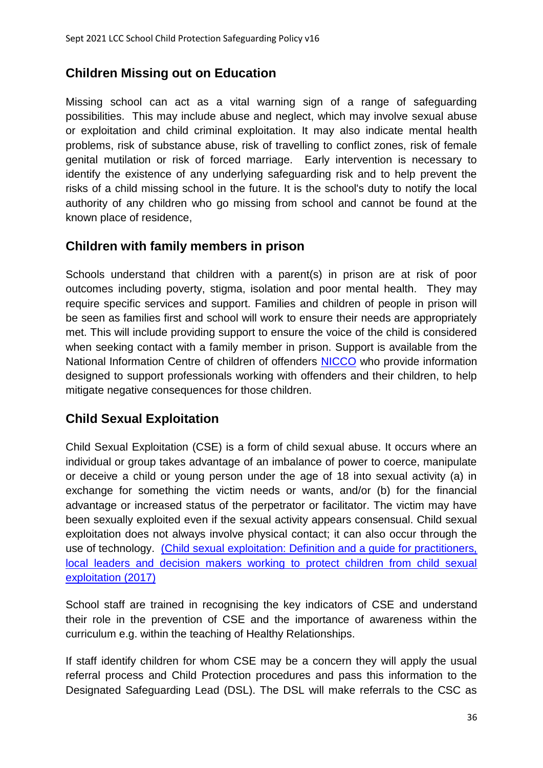# **Children Missing out on Education**

Missing school can act as a vital warning sign of a range of safeguarding possibilities. This may include abuse and neglect, which may involve sexual abuse or exploitation and child criminal exploitation. It may also indicate mental health problems, risk of substance abuse, risk of travelling to conflict zones, risk of female genital mutilation or risk of forced marriage. Early intervention is necessary to identify the existence of any underlying safeguarding risk and to help prevent the risks of a child missing school in the future. It is the school's duty to notify the local authority of any children who go missing from school and cannot be found at the known place of residence,

# **Children with family members in prison**

Schools understand that children with a parent(s) in prison are at risk of poor outcomes including poverty, stigma, isolation and poor mental health. They may require specific services and support. Families and children of people in prison will be seen as families first and school will work to ensure their needs are appropriately met. This will include providing support to ensure the voice of the child is considered when seeking contact with a family member in prison. Support is available from the National Information Centre of children of offenders [NICCO](https://www.nicco.org.uk/) who provide information designed to support professionals working with offenders and their children, to help mitigate negative consequences for those children.

# **Child Sexual Exploitation**

Child Sexual Exploitation (CSE) is a form of child sexual abuse. It occurs where an individual or group takes advantage of an imbalance of power to coerce, manipulate or deceive a child or young person under the age of 18 into sexual activity (a) in exchange for something the victim needs or wants, and/or (b) for the financial advantage or increased status of the perpetrator or facilitator. The victim may have been sexually exploited even if the sexual activity appears consensual. Child sexual exploitation does not always involve physical contact; it can also occur through the use of technology. [\(Child sexual exploitation: Definition and a guide for practitioners,](https://www.gov.uk/government/publications/child-sexual-exploitation-definition-and-guide-for-practitioners)  [local leaders and decision makers working to protect children from child sexual](https://www.gov.uk/government/publications/child-sexual-exploitation-definition-and-guide-for-practitioners)  [exploitation \(2017\)](https://www.gov.uk/government/publications/child-sexual-exploitation-definition-and-guide-for-practitioners)

School staff are trained in recognising the key indicators of CSE and understand their role in the prevention of CSE and the importance of awareness within the curriculum e.g. within the teaching of Healthy Relationships.

If staff identify children for whom CSE may be a concern they will apply the usual referral process and Child Protection procedures and pass this information to the Designated Safeguarding Lead (DSL). The DSL will make referrals to the CSC as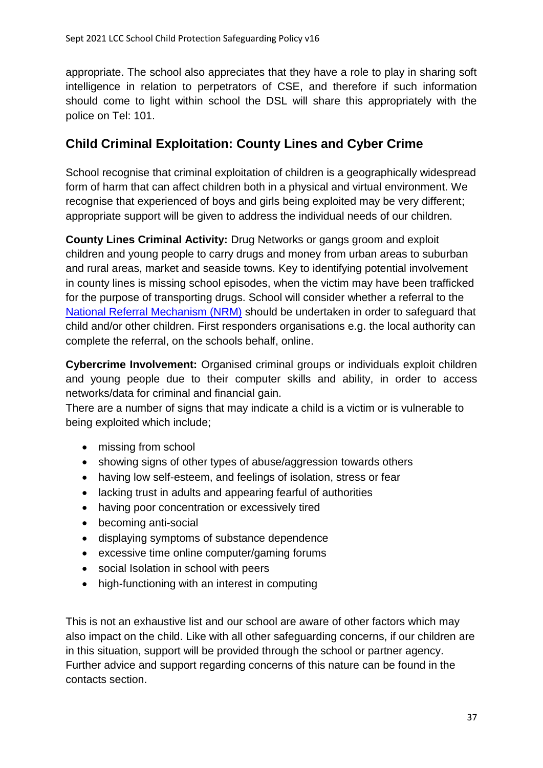appropriate. The school also appreciates that they have a role to play in sharing soft intelligence in relation to perpetrators of CSE, and therefore if such information should come to light within school the DSL will share this appropriately with the police on Tel: 101.

# **Child Criminal Exploitation: County Lines and Cyber Crime**

School recognise that criminal exploitation of children is a geographically widespread form of harm that can affect children both in a physical and virtual environment. We recognise that experienced of boys and girls being exploited may be very different; appropriate support will be given to address the individual needs of our children.

**County Lines Criminal Activity:** Drug Networks or gangs groom and exploit children and young people to carry drugs and money from urban areas to suburban and rural areas, market and seaside towns. Key to identifying potential involvement in county lines is missing school episodes, when the victim may have been trafficked for the purpose of transporting drugs. School will consider whether a referral to the [National Referral Mechanism \(NRM\)](https://www.gov.uk/government/publications/human-trafficking-victims-referral-and-assessment-forms/guidance-on-the-national-referral-mechanism-for-potential-adult-victims-of-modern-slavery-england-and-wales) should be undertaken in order to safeguard that child and/or other children. First responders organisations e.g. the local authority can complete the referral, on the schools behalf, online.

**Cybercrime Involvement:** Organised criminal groups or individuals exploit children and young people due to their computer skills and ability, in order to access networks/data for criminal and financial gain.

There are a number of signs that may indicate a child is a victim or is vulnerable to being exploited which include;

- missing from school
- showing signs of other types of abuse/aggression towards others
- having low self-esteem, and feelings of isolation, stress or fear
- lacking trust in adults and appearing fearful of authorities
- having poor concentration or excessively tired
- becoming anti-social
- displaying symptoms of substance dependence
- excessive time online computer/gaming forums
- social Isolation in school with peers
- high-functioning with an interest in computing

This is not an exhaustive list and our school are aware of other factors which may also impact on the child. Like with all other safeguarding concerns, if our children are in this situation, support will be provided through the school or partner agency. Further advice and support regarding concerns of this nature can be found in the contacts section.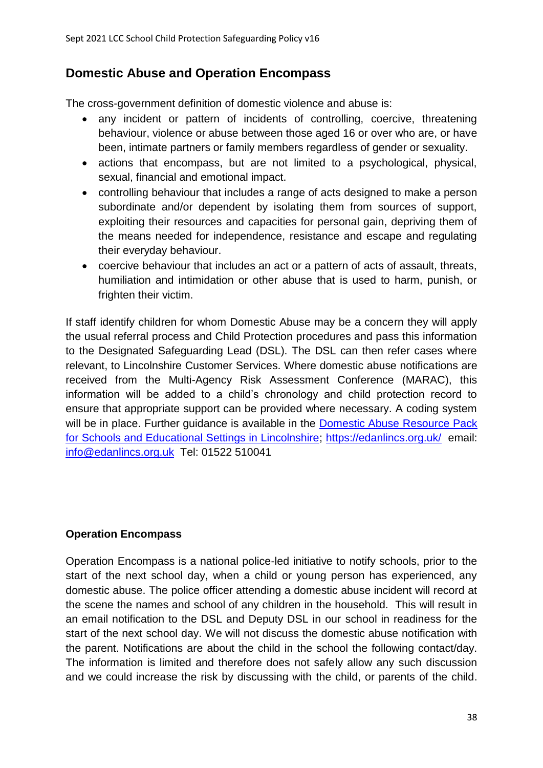# **Domestic Abuse and Operation Encompass**

The cross-government definition of domestic violence and abuse is:

- any incident or pattern of incidents of controlling, coercive, threatening behaviour, violence or abuse between those aged 16 or over who are, or have been, intimate partners or family members regardless of gender or sexuality.
- actions that encompass, but are not limited to a psychological, physical, sexual, financial and emotional impact.
- controlling behaviour that includes a range of acts designed to make a person subordinate and/or dependent by isolating them from sources of support, exploiting their resources and capacities for personal gain, depriving them of the means needed for independence, resistance and escape and regulating their everyday behaviour.
- coercive behaviour that includes an act or a pattern of acts of assault, threats, humiliation and intimidation or other abuse that is used to harm, punish, or frighten their victim.

If staff identify children for whom Domestic Abuse may be a concern they will apply the usual referral process and Child Protection procedures and pass this information to the Designated Safeguarding Lead (DSL). The DSL can then refer cases where relevant, to Lincolnshire Customer Services. Where domestic abuse notifications are received from the Multi-Agency Risk Assessment Conference (MARAC), this information will be added to a child's chronology and child protection record to ensure that appropriate support can be provided where necessary. A coding system will be in place. Further guidance is available in the Domestic Abuse Resource Pack [for Schools and Educational Settings in Lincolnshire;](file:///C:/Users/Nichola.Burgess/AppData/Local/Microsoft/Windows/INetCache/Content.Outlook/ZKIJZNUF/Domestic%20Abuse%20Resource%20Pack%20for%20Schools%20and%20Educational%20Settings%20in%20Lincolnshire)<https://edanlincs.org.uk/>email: [info@edanlincs.org.uk](mailto:info@edanlincs.org.uk) Tel: 01522 510041

### **Operation Encompass**

Operation Encompass is a national police-led initiative to notify schools, prior to the start of the next school day, when a child or young person has experienced, any domestic abuse. The police officer attending a domestic abuse incident will record at the scene the names and school of any children in the household. This will result in an email notification to the DSL and Deputy DSL in our school in readiness for the start of the next school day. We will not discuss the domestic abuse notification with the parent. Notifications are about the child in the school the following contact/day. The information is limited and therefore does not safely allow any such discussion and we could increase the risk by discussing with the child, or parents of the child.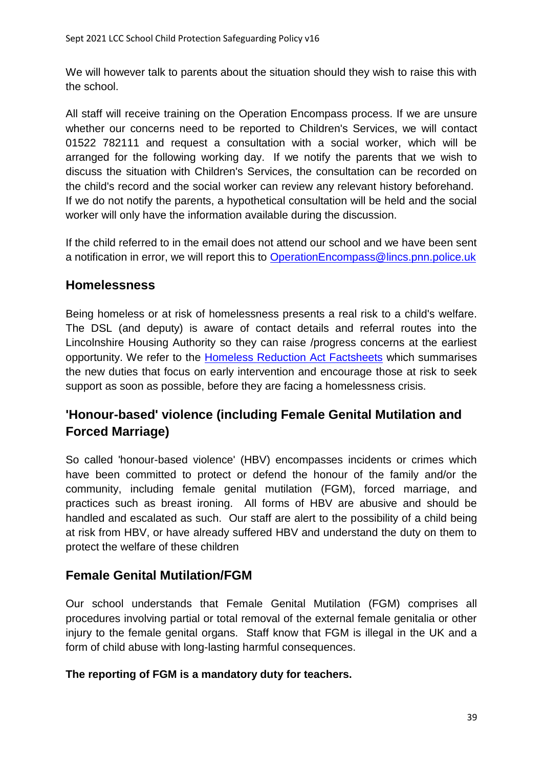We will however talk to parents about the situation should they wish to raise this with the school.

All staff will receive training on the Operation Encompass process. If we are unsure whether our concerns need to be reported to Children's Services, we will contact 01522 782111 and request a consultation with a social worker, which will be arranged for the following working day. If we notify the parents that we wish to discuss the situation with Children's Services, the consultation can be recorded on the child's record and the social worker can review any relevant history beforehand. If we do not notify the parents, a hypothetical consultation will be held and the social worker will only have the information available during the discussion.

If the child referred to in the email does not attend our school and we have been sent a notification in error, we will report this to [OperationEncompass@lincs.pnn.police.uk](mailto:OperationEncompass@lincs.pnn.police.uk)

### **Homelessness**

Being homeless or at risk of homelessness presents a real risk to a child's welfare. The DSL (and deputy) is aware of contact details and referral routes into the Lincolnshire Housing Authority so they can raise /progress concerns at the earliest opportunity. We refer to the [Homeless Reduction Act Factsheets](https://www.gov.uk/government/publications/homelessness-reduction-bill-policy-factsheets) which summarises the new duties that focus on early intervention and encourage those at risk to seek support as soon as possible, before they are facing a homelessness crisis.

# **'Honour-based' violence (including Female Genital Mutilation and Forced Marriage)**

So called 'honour-based violence' (HBV) encompasses incidents or crimes which have been committed to protect or defend the honour of the family and/or the community, including female genital mutilation (FGM), forced marriage, and practices such as breast ironing. All forms of HBV are abusive and should be handled and escalated as such. Our staff are alert to the possibility of a child being at risk from HBV, or have already suffered HBV and understand the duty on them to protect the welfare of these children

# **Female Genital Mutilation/FGM**

Our school understands that Female Genital Mutilation (FGM) comprises all procedures involving partial or total removal of the external female genitalia or other injury to the female genital organs. Staff know that FGM is illegal in the UK and a form of child abuse with long-lasting harmful consequences.

### **The reporting of FGM is a mandatory duty for teachers.**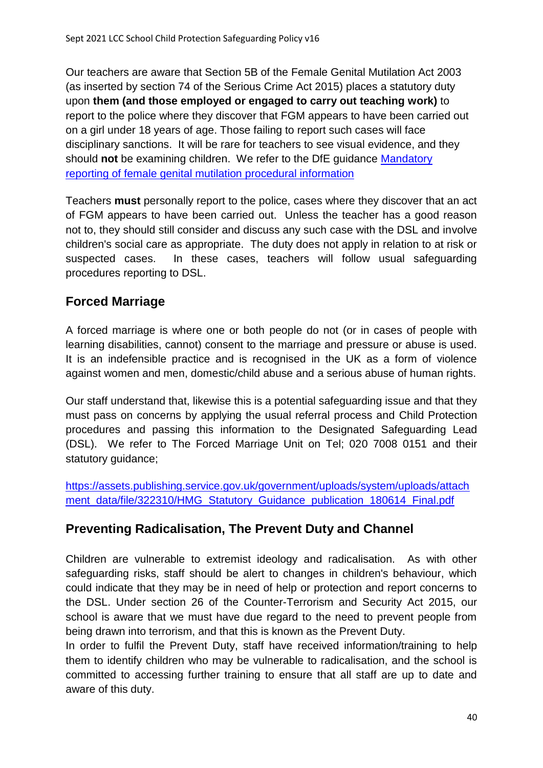Our teachers are aware that Section 5B of the Female Genital Mutilation Act 2003 (as inserted by section 74 of the Serious Crime Act 2015) places a statutory duty upon **them (and those employed or engaged to carry out teaching work)** to report to the police where they discover that FGM appears to have been carried out on a girl under 18 years of age. Those failing to report such cases will face disciplinary sanctions. It will be rare for teachers to see visual evidence, and they should **not** be examining children. We refer to the DfE guidance [Mandatory](https://www.gov.uk/government/publications/mandatory-reporting-of-female-genital-mutilation-procedural-information)  [reporting of female genital mutilation procedural information](https://www.gov.uk/government/publications/mandatory-reporting-of-female-genital-mutilation-procedural-information)

Teachers **must** personally report to the police, cases where they discover that an act of FGM appears to have been carried out. Unless the teacher has a good reason not to, they should still consider and discuss any such case with the DSL and involve children's social care as appropriate. The duty does not apply in relation to at risk or suspected cases. In these cases, teachers will follow usual safeguarding procedures reporting to DSL.

# **Forced Marriage**

A forced marriage is where one or both people do not (or in cases of people with learning disabilities, cannot) consent to the marriage and pressure or abuse is used. It is an indefensible practice and is recognised in the UK as a form of violence against women and men, domestic/child abuse and a serious abuse of human rights.

Our staff understand that, likewise this is a potential safeguarding issue and that they must pass on concerns by applying the usual referral process and Child Protection procedures and passing this information to the Designated Safeguarding Lead (DSL). We refer to The Forced Marriage Unit on Tel; 020 7008 0151 and their statutory guidance;

[https://assets.publishing.service.gov.uk/government/uploads/system/uploads/attach](https://assets.publishing.service.gov.uk/government/uploads/system/uploads/attachment_data/file/322310/HMG_Statutory_Guidance_publication_180614_Final.pdf) [ment\\_data/file/322310/HMG\\_Statutory\\_Guidance\\_publication\\_180614\\_Final.pdf](https://assets.publishing.service.gov.uk/government/uploads/system/uploads/attachment_data/file/322310/HMG_Statutory_Guidance_publication_180614_Final.pdf) 

# **Preventing Radicalisation, The Prevent Duty and Channel**

Children are vulnerable to extremist ideology and radicalisation. As with other safeguarding risks, staff should be alert to changes in children's behaviour, which could indicate that they may be in need of help or protection and report concerns to the DSL. Under section 26 of the Counter-Terrorism and Security Act 2015, our school is aware that we must have due regard to the need to prevent people from being drawn into terrorism, and that this is known as the Prevent Duty.

In order to fulfil the Prevent Duty, staff have received information/training to help them to identify children who may be vulnerable to radicalisation, and the school is committed to accessing further training to ensure that all staff are up to date and aware of this duty.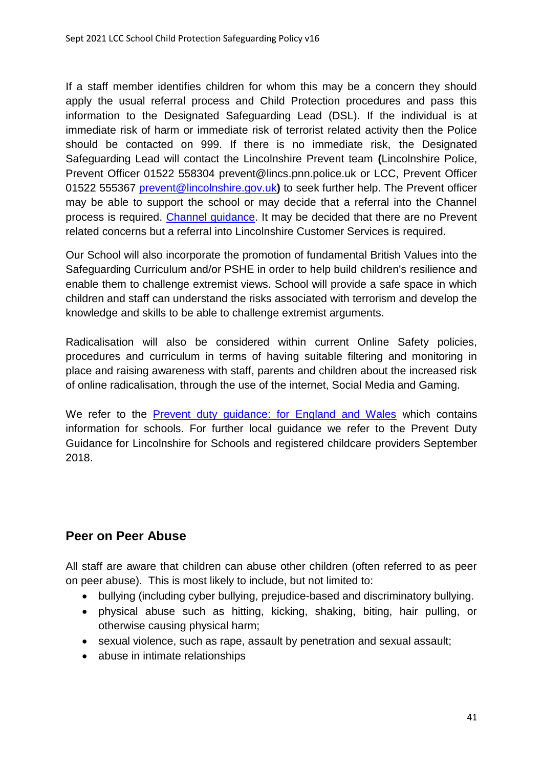If a staff member identifies children for whom this may be a concern they should apply the usual referral process and Child Protection procedures and pass this information to the Designated Safeguarding Lead (DSL). If the individual is at immediate risk of harm or immediate risk of terrorist related activity then the Police should be contacted on 999. If there is no immediate risk, the Designated Safeguarding Lead will contact the Lincolnshire Prevent team **(**Lincolnshire Police, Prevent Officer 01522 558304 prevent@lincs.pnn.police.uk or LCC, Prevent Officer 01522 555367 [prevent@lincolnshire.gov.uk](mailto:prevent@lincolnshire.gov.uk)**)** to seek further help. The Prevent officer may be able to support the school or may decide that a referral into the Channel process is required. [Channel guidance.](https://www.gov.uk/government/publications/channel-guidance) It may be decided that there are no Prevent related concerns but a referral into Lincolnshire Customer Services is required.

Our School will also incorporate the promotion of fundamental British Values into the Safeguarding Curriculum and/or PSHE in order to help build children's resilience and enable them to challenge extremist views. School will provide a safe space in which children and staff can understand the risks associated with terrorism and develop the knowledge and skills to be able to challenge extremist arguments.

Radicalisation will also be considered within current Online Safety policies, procedures and curriculum in terms of having suitable filtering and monitoring in place and raising awareness with staff, parents and children about the increased risk of online radicalisation, through the use of the internet, Social Media and Gaming.

We refer to the Prevent duty quidance: for England and Wales which contains information for schools. For further local guidance we refer to the Prevent Duty Guidance for Lincolnshire for Schools and registered childcare providers September 2018.

# **Peer on Peer Abuse**

All staff are aware that children can abuse other children (often referred to as peer on peer abuse). This is most likely to include, but not limited to:

- bullying (including cyber bullying, prejudice-based and discriminatory bullying.
- physical abuse such as hitting, kicking, shaking, biting, hair pulling, or otherwise causing physical harm;
- sexual violence, such as rape, assault by penetration and sexual assault;
- abuse in intimate relationships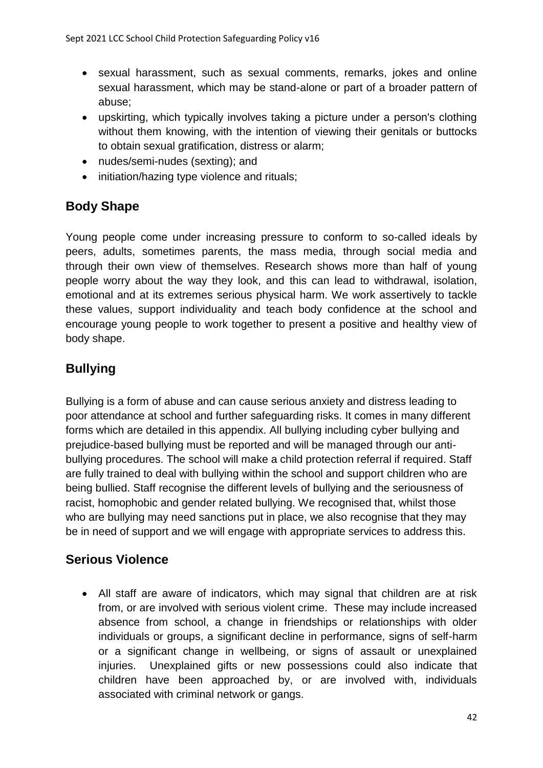- sexual harassment, such as sexual comments, remarks, jokes and online sexual harassment, which may be stand-alone or part of a broader pattern of abuse;
- upskirting, which typically involves taking a picture under a person's clothing without them knowing, with the intention of viewing their genitals or buttocks to obtain sexual gratification, distress or alarm;
- nudes/semi-nudes (sexting); and
- initiation/hazing type violence and rituals;

# **Body Shape**

Young people come under increasing pressure to conform to so-called ideals by peers, adults, sometimes parents, the mass media, through social media and through their own view of themselves. Research shows more than half of young people worry about the way they look, and this can lead to withdrawal, isolation, emotional and at its extremes serious physical harm. We work assertively to tackle these values, support individuality and teach body confidence at the school and encourage young people to work together to present a positive and healthy view of body shape.

# **Bullying**

Bullying is a form of abuse and can cause serious anxiety and distress leading to poor attendance at school and further safeguarding risks. It comes in many different forms which are detailed in this appendix. All bullying including cyber bullying and prejudice-based bullying must be reported and will be managed through our antibullying procedures. The school will make a child protection referral if required. Staff are fully trained to deal with bullying within the school and support children who are being bullied. Staff recognise the different levels of bullying and the seriousness of racist, homophobic and gender related bullying. We recognised that, whilst those who are bullying may need sanctions put in place, we also recognise that they may be in need of support and we will engage with appropriate services to address this.

# **Serious Violence**

• All staff are aware of indicators, which may signal that children are at risk from, or are involved with serious violent crime. These may include increased absence from school, a change in friendships or relationships with older individuals or groups, a significant decline in performance, signs of self-harm or a significant change in wellbeing, or signs of assault or unexplained injuries. Unexplained gifts or new possessions could also indicate that children have been approached by, or are involved with, individuals associated with criminal network or gangs.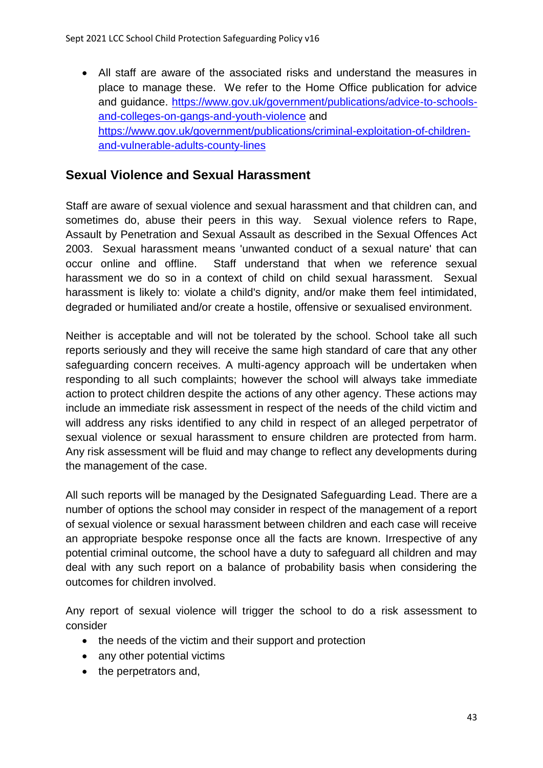• All staff are aware of the associated risks and understand the measures in place to manage these. We refer to the Home Office publication for advice and guidance. [https://www.gov.uk/government/publications/advice-to-schools](https://www.gov.uk/government/publications/advice-to-schools-and-colleges-on-gangs-and-youth-violence)[and-colleges-on-gangs-and-youth-violence](https://www.gov.uk/government/publications/advice-to-schools-and-colleges-on-gangs-and-youth-violence) and [https://www.gov.uk/government/publications/criminal-exploitation-of-children](https://www.gov.uk/government/publications/criminal-exploitation-of-children-and-vulnerable-adults-county-lines)[and-vulnerable-adults-county-lines](https://www.gov.uk/government/publications/criminal-exploitation-of-children-and-vulnerable-adults-county-lines)

# **Sexual Violence and Sexual Harassment**

Staff are aware of sexual violence and sexual harassment and that children can, and sometimes do, abuse their peers in this way. Sexual violence refers to Rape, Assault by Penetration and Sexual Assault as described in the Sexual Offences Act 2003. Sexual harassment means 'unwanted conduct of a sexual nature' that can occur online and offline. Staff understand that when we reference sexual harassment we do so in a context of child on child sexual harassment. Sexual harassment is likely to: violate a child's dignity, and/or make them feel intimidated, degraded or humiliated and/or create a hostile, offensive or sexualised environment.

Neither is acceptable and will not be tolerated by the school. School take all such reports seriously and they will receive the same high standard of care that any other safeguarding concern receives. A multi-agency approach will be undertaken when responding to all such complaints; however the school will always take immediate action to protect children despite the actions of any other agency. These actions may include an immediate risk assessment in respect of the needs of the child victim and will address any risks identified to any child in respect of an alleged perpetrator of sexual violence or sexual harassment to ensure children are protected from harm. Any risk assessment will be fluid and may change to reflect any developments during the management of the case.

All such reports will be managed by the Designated Safeguarding Lead. There are a number of options the school may consider in respect of the management of a report of sexual violence or sexual harassment between children and each case will receive an appropriate bespoke response once all the facts are known. Irrespective of any potential criminal outcome, the school have a duty to safeguard all children and may deal with any such report on a balance of probability basis when considering the outcomes for children involved.

Any report of sexual violence will trigger the school to do a risk assessment to consider

- the needs of the victim and their support and protection
- any other potential victims
- the perpetrators and,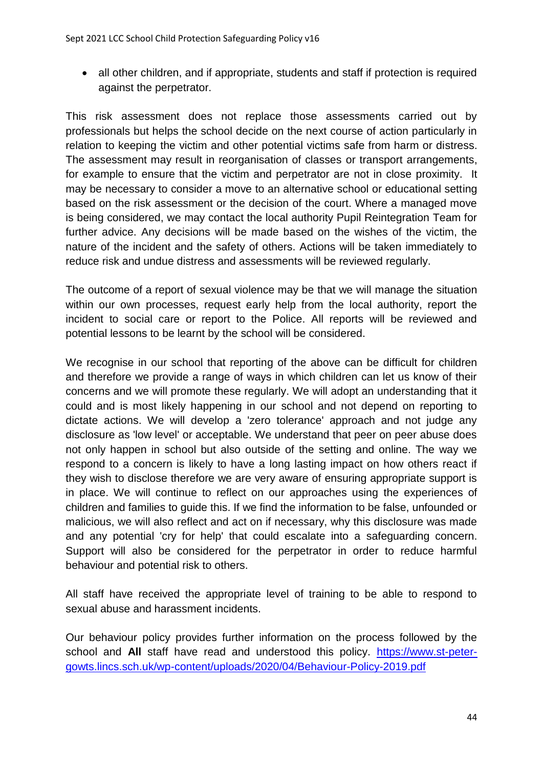• all other children, and if appropriate, students and staff if protection is required against the perpetrator.

This risk assessment does not replace those assessments carried out by professionals but helps the school decide on the next course of action particularly in relation to keeping the victim and other potential victims safe from harm or distress. The assessment may result in reorganisation of classes or transport arrangements, for example to ensure that the victim and perpetrator are not in close proximity. It may be necessary to consider a move to an alternative school or educational setting based on the risk assessment or the decision of the court. Where a managed move is being considered, we may contact the local authority Pupil Reintegration Team for further advice. Any decisions will be made based on the wishes of the victim, the nature of the incident and the safety of others. Actions will be taken immediately to reduce risk and undue distress and assessments will be reviewed regularly.

The outcome of a report of sexual violence may be that we will manage the situation within our own processes, request early help from the local authority, report the incident to social care or report to the Police. All reports will be reviewed and potential lessons to be learnt by the school will be considered.

We recognise in our school that reporting of the above can be difficult for children and therefore we provide a range of ways in which children can let us know of their concerns and we will promote these regularly. We will adopt an understanding that it could and is most likely happening in our school and not depend on reporting to dictate actions. We will develop a 'zero tolerance' approach and not judge any disclosure as 'low level' or acceptable. We understand that peer on peer abuse does not only happen in school but also outside of the setting and online. The way we respond to a concern is likely to have a long lasting impact on how others react if they wish to disclose therefore we are very aware of ensuring appropriate support is in place. We will continue to reflect on our approaches using the experiences of children and families to guide this. If we find the information to be false, unfounded or malicious, we will also reflect and act on if necessary, why this disclosure was made and any potential 'cry for help' that could escalate into a safeguarding concern. Support will also be considered for the perpetrator in order to reduce harmful behaviour and potential risk to others.

All staff have received the appropriate level of training to be able to respond to sexual abuse and harassment incidents.

Our behaviour policy provides further information on the process followed by the school and **All** staff have read and understood this policy. [https://www.st-peter](https://www.st-peter-gowts.lincs.sch.uk/wp-content/uploads/2020/04/Behaviour-Policy-2019.pdf)[gowts.lincs.sch.uk/wp-content/uploads/2020/04/Behaviour-Policy-2019.pdf](https://www.st-peter-gowts.lincs.sch.uk/wp-content/uploads/2020/04/Behaviour-Policy-2019.pdf)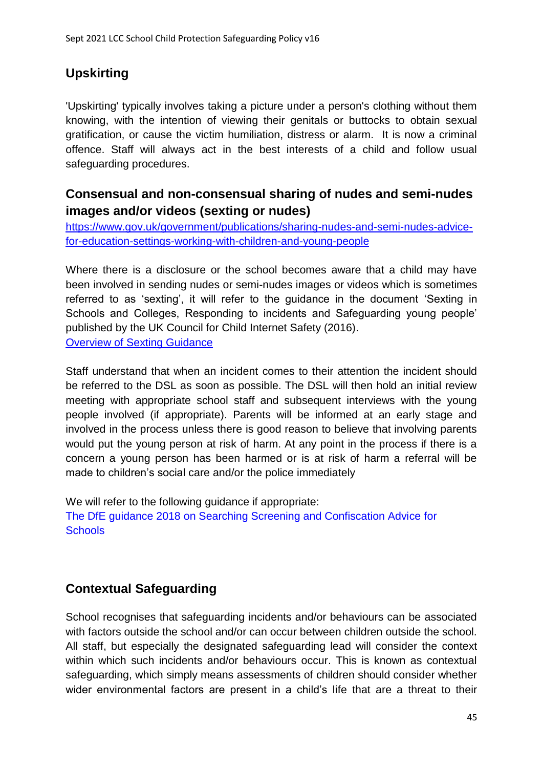# **Upskirting**

'Upskirting' typically involves taking a picture under a person's clothing without them knowing, with the intention of viewing their genitals or buttocks to obtain sexual gratification, or cause the victim humiliation, distress or alarm. It is now a criminal offence. Staff will always act in the best interests of a child and follow usual safeguarding procedures.

# **Consensual and non-consensual sharing of nudes and semi-nudes images and/or videos (sexting or nudes)**

[https://www.gov.uk/government/publications/sharing-nudes-and-semi-nudes-advice](https://www.gov.uk/government/publications/sharing-nudes-and-semi-nudes-advice-for-education-settings-working-with-children-and-young-people)[for-education-settings-working-with-children-and-young-people](https://www.gov.uk/government/publications/sharing-nudes-and-semi-nudes-advice-for-education-settings-working-with-children-and-young-people)

Where there is a disclosure or the school becomes aware that a child may have been involved in sending nudes or semi-nudes images or videos which is sometimes referred to as 'sexting', it will refer to the guidance in the document 'Sexting in Schools and Colleges, Responding to incidents and Safeguarding young people' published by the UK Council for Child Internet Safety (2016). [Overview of Sexting Guidance](https://assets.publishing.service.gov.uk/government/uploads/system/uploads/attachment_data/file/647389/Overview_of_Sexting_Guidance.pdf)

Staff understand that when an incident comes to their attention the incident should be referred to the DSL as soon as possible. The DSL will then hold an initial review meeting with appropriate school staff and subsequent interviews with the young people involved (if appropriate). Parents will be informed at an early stage and involved in the process unless there is good reason to believe that involving parents would put the young person at risk of harm. At any point in the process if there is a concern a young person has been harmed or is at risk of harm a referral will be made to children's social care and/or the police immediately

We will refer to the following guidance if appropriate: [The DfE guidance 2018 on Searching Screening and Confiscation Advice for](https://www.gov.uk/government/publications/searching-screening-and-confiscation)  **[Schools](https://www.gov.uk/government/publications/searching-screening-and-confiscation)** 

# **Contextual Safeguarding**

School recognises that safeguarding incidents and/or behaviours can be associated with factors outside the school and/or can occur between children outside the school. All staff, but especially the designated safeguarding lead will consider the context within which such incidents and/or behaviours occur. This is known as contextual safeguarding, which simply means assessments of children should consider whether wider environmental factors are present in a child's life that are a threat to their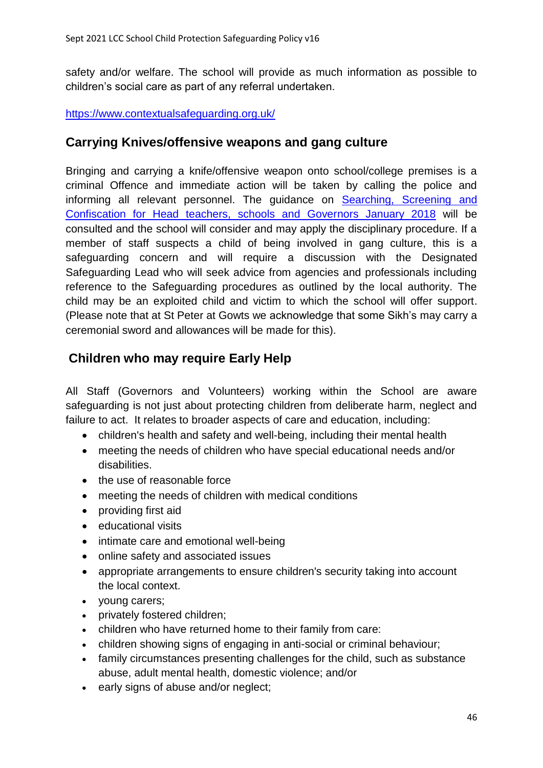safety and/or welfare. The school will provide as much information as possible to children's social care as part of any referral undertaken.

<https://www.contextualsafeguarding.org.uk/>

### **Carrying Knives/offensive weapons and gang culture**

Bringing and carrying a knife/offensive weapon onto school/college premises is a criminal Offence and immediate action will be taken by calling the police and informing all relevant personnel. The guidance on [Searching, Screening and](https://assets.publishing.service.gov.uk/government/uploads/system/uploads/attachment_data/file/674416/Searching_screening_and_confiscation.pdf)  [Confiscation for Head teachers, schools and Governors January 2018](https://assets.publishing.service.gov.uk/government/uploads/system/uploads/attachment_data/file/674416/Searching_screening_and_confiscation.pdf) will be consulted and the school will consider and may apply the disciplinary procedure. If a member of staff suspects a child of being involved in gang culture, this is a safeguarding concern and will require a discussion with the Designated Safeguarding Lead who will seek advice from agencies and professionals including reference to the Safeguarding procedures as outlined by the local authority. The child may be an exploited child and victim to which the school will offer support. (Please note that at St Peter at Gowts we acknowledge that some Sikh's may carry a ceremonial sword and allowances will be made for this).

# **Children who may require Early Help**

All Staff (Governors and Volunteers) working within the School are aware safeguarding is not just about protecting children from deliberate harm, neglect and failure to act. It relates to broader aspects of care and education, including:

- children's health and safety and well-being, including their mental health
- meeting the needs of children who have special educational needs and/or disabilities.
- the use of reasonable force
- meeting the needs of children with medical conditions
- providing first aid
- educational visits
- intimate care and emotional well-being
- online safety and associated issues
- appropriate arrangements to ensure children's security taking into account the local context.
- young carers;
- privately fostered children;
- children who have returned home to their family from care:
- children showing signs of engaging in anti-social or criminal behaviour;
- family circumstances presenting challenges for the child, such as substance abuse, adult mental health, domestic violence; and/or
- early signs of abuse and/or neglect;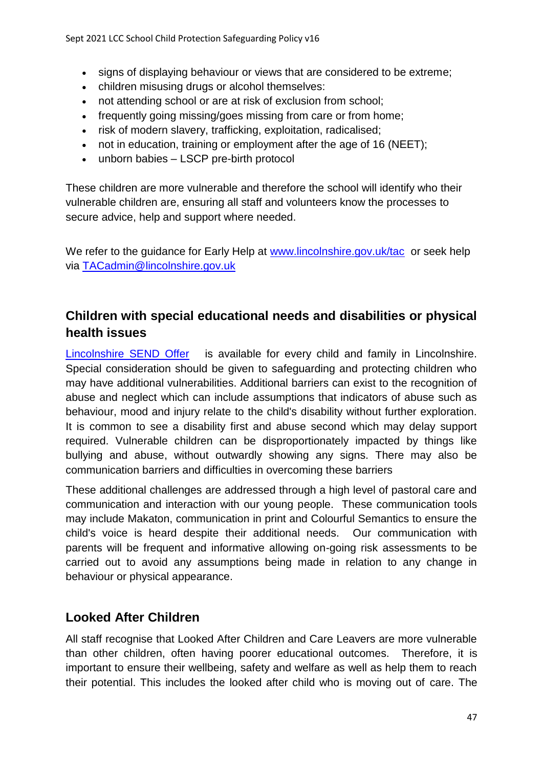- signs of displaying behaviour or views that are considered to be extreme;
- children misusing drugs or alcohol themselves:
- not attending school or are at risk of exclusion from school;
- frequently going missing/goes missing from care or from home;
- risk of modern slavery, trafficking, exploitation, radicalised;
- not in education, training or employment after the age of 16 (NEET);
- unborn babies LSCP pre-birth protocol

These children are more vulnerable and therefore the school will identify who their vulnerable children are, ensuring all staff and volunteers know the processes to secure advice, help and support where needed.

We refer to the guidance for Early Help at [www.lincolnshire.gov.uk/tac](http://www.lincolnshire.gov.uk/tac) or seek help via [TACadmin@lincolnshire.gov.uk](mailto:TACadmin@lincolnshire.gov.uk)

# **Children with special educational needs and disabilities or physical health issues**

[Lincolnshire SEND Offer](https://www.lincolnshire.gov.uk/send-local-offer) is available for every child and family in Lincolnshire. Special consideration should be given to safeguarding and protecting children who may have additional vulnerabilities. Additional barriers can exist to the recognition of abuse and neglect which can include assumptions that indicators of abuse such as behaviour, mood and injury relate to the child's disability without further exploration. It is common to see a disability first and abuse second which may delay support required. Vulnerable children can be disproportionately impacted by things like bullying and abuse, without outwardly showing any signs. There may also be communication barriers and difficulties in overcoming these barriers

These additional challenges are addressed through a high level of pastoral care and communication and interaction with our young people. These communication tools may include Makaton, communication in print and Colourful Semantics to ensure the child's voice is heard despite their additional needs. Our communication with parents will be frequent and informative allowing on-going risk assessments to be carried out to avoid any assumptions being made in relation to any change in behaviour or physical appearance.

# **Looked After Children**

All staff recognise that Looked After Children and Care Leavers are more vulnerable than other children, often having poorer educational outcomes. Therefore, it is important to ensure their wellbeing, safety and welfare as well as help them to reach their potential. This includes the looked after child who is moving out of care. The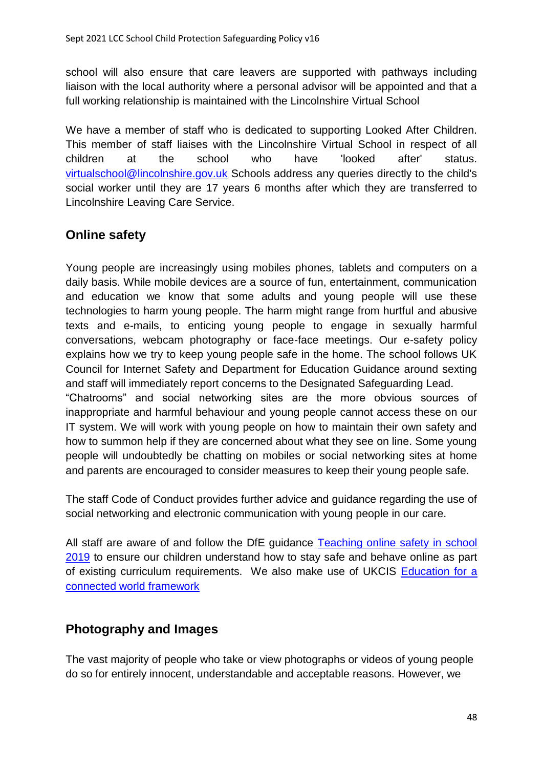school will also ensure that care leavers are supported with pathways including liaison with the local authority where a personal advisor will be appointed and that a full working relationship is maintained with the Lincolnshire Virtual School

We have a member of staff who is dedicated to supporting Looked After Children. This member of staff liaises with the Lincolnshire Virtual School in respect of all children at the school who have 'looked after' status. [virtualschool@lincolnshire.gov.uk](mailto:virtualschool@lincolnshire.gov.uk) Schools address any queries directly to the child's social worker until they are 17 years 6 months after which they are transferred to Lincolnshire Leaving Care Service.

# **Online safety**

Young people are increasingly using mobiles phones, tablets and computers on a daily basis. While mobile devices are a source of fun, entertainment, communication and education we know that some adults and young people will use these technologies to harm young people. The harm might range from hurtful and abusive texts and e-mails, to enticing young people to engage in sexually harmful conversations, webcam photography or face-face meetings. Our e-safety policy explains how we try to keep young people safe in the home. The school follows UK Council for Internet Safety and Department for Education Guidance around sexting and staff will immediately report concerns to the Designated Safeguarding Lead. "Chatrooms" and social networking sites are the more obvious sources of inappropriate and harmful behaviour and young people cannot access these on our IT system. We will work with young people on how to maintain their own safety and how to summon help if they are concerned about what they see on line. Some young people will undoubtedly be chatting on mobiles or social networking sites at home and parents are encouraged to consider measures to keep their young people safe.

The staff Code of Conduct provides further advice and guidance regarding the use of social networking and electronic communication with young people in our care.

All staff are aware of and follow the DfE guidance Teaching online safety in school [2019](https://www.gov.uk/government/publications/teaching-online-safety-in-schools) to ensure our children understand how to stay safe and behave online as part of existing curriculum requirements. We also make use of UKCIS [Education for a](https://www.gov.uk/government/publications/education-for-a-connected-world)  [connected world framework](https://www.gov.uk/government/publications/education-for-a-connected-world)

# **Photography and Images**

The vast majority of people who take or view photographs or videos of young people do so for entirely innocent, understandable and acceptable reasons. However, we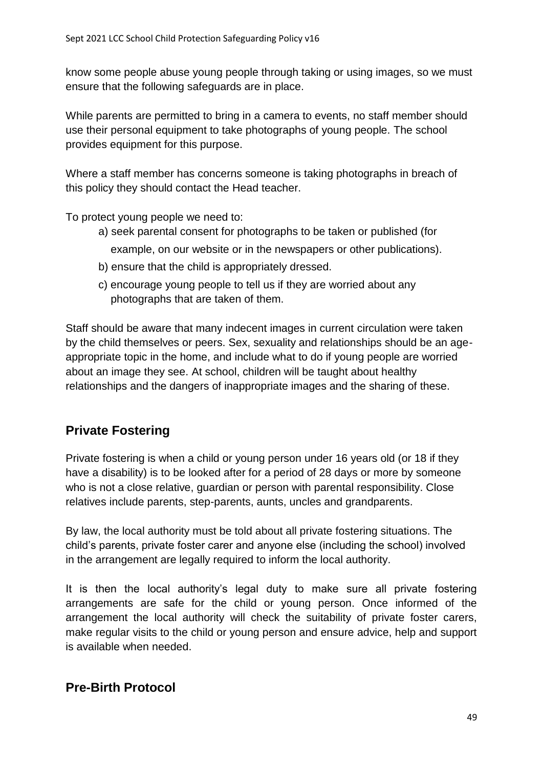know some people abuse young people through taking or using images, so we must ensure that the following safeguards are in place.

While parents are permitted to bring in a camera to events, no staff member should use their personal equipment to take photographs of young people. The school provides equipment for this purpose.

Where a staff member has concerns someone is taking photographs in breach of this policy they should contact the Head teacher.

To protect young people we need to:

- a) seek parental consent for photographs to be taken or published (for example, on our website or in the newspapers or other publications).
- b) ensure that the child is appropriately dressed.
- c) encourage young people to tell us if they are worried about any photographs that are taken of them.

Staff should be aware that many indecent images in current circulation were taken by the child themselves or peers. Sex, sexuality and relationships should be an ageappropriate topic in the home, and include what to do if young people are worried about an image they see. At school, children will be taught about healthy relationships and the dangers of inappropriate images and the sharing of these.

# **Private Fostering**

Private fostering is when a child or young person under 16 years old (or 18 if they have a disability) is to be looked after for a period of 28 days or more by someone who is not a close relative, guardian or person with parental responsibility. Close relatives include parents, step-parents, aunts, uncles and grandparents.

By law, the local authority must be told about all private fostering situations. The child's parents, private foster carer and anyone else (including the school) involved in the arrangement are legally required to inform the local authority.

It is then the local authority's legal duty to make sure all private fostering arrangements are safe for the child or young person. Once informed of the arrangement the local authority will check the suitability of private foster carers, make regular visits to the child or young person and ensure advice, help and support is available when needed.

# **Pre-Birth Protocol**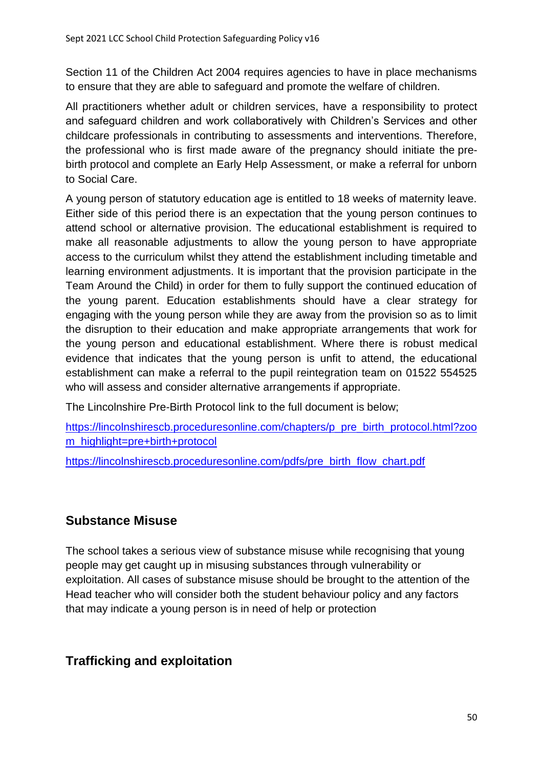Section 11 of the Children Act 2004 requires agencies to have in place mechanisms to ensure that they are able to safeguard and promote the welfare of children.

All practitioners whether adult or children services, have a responsibility to protect and safeguard children and work collaboratively with Children's Services and other childcare professionals in contributing to assessments and interventions. Therefore, the professional who is first made aware of the pregnancy should initiate the prebirth protocol and complete an Early Help Assessment, or make a referral for unborn to Social Care.

A young person of statutory education age is entitled to 18 weeks of maternity leave. Either side of this period there is an expectation that the young person continues to attend school or alternative provision. The educational establishment is required to make all reasonable adjustments to allow the young person to have appropriate access to the curriculum whilst they attend the establishment including timetable and learning environment adjustments. It is important that the provision participate in the Team Around the Child) in order for them to fully support the continued education of the young parent. Education establishments should have a clear strategy for engaging with the young person while they are away from the provision so as to limit the disruption to their education and make appropriate arrangements that work for the young person and educational establishment. Where there is robust medical evidence that indicates that the young person is unfit to attend, the educational establishment can make a referral to the pupil reintegration team on 01522 554525 who will assess and consider alternative arrangements if appropriate.

The Lincolnshire Pre-Birth Protocol link to the full document is below;

[https://lincolnshirescb.proceduresonline.com/chapters/p\\_pre\\_birth\\_protocol.html?zoo](https://lincolnshirescb.proceduresonline.com/chapters/p_pre_birth_protocol.html?zoom_highlight=pre+birth+protocol) [m\\_highlight=pre+birth+protocol](https://lincolnshirescb.proceduresonline.com/chapters/p_pre_birth_protocol.html?zoom_highlight=pre+birth+protocol) 

[https://lincolnshirescb.proceduresonline.com/pdfs/pre\\_birth\\_flow\\_chart.pdf](https://lincolnshirescb.proceduresonline.com/pdfs/pre_birth_flow_chart.pdf)

# **Substance Misuse**

The school takes a serious view of substance misuse while recognising that young people may get caught up in misusing substances through vulnerability or exploitation. All cases of substance misuse should be brought to the attention of the Head teacher who will consider both the student behaviour policy and any factors that may indicate a young person is in need of help or protection

# **Trafficking and exploitation**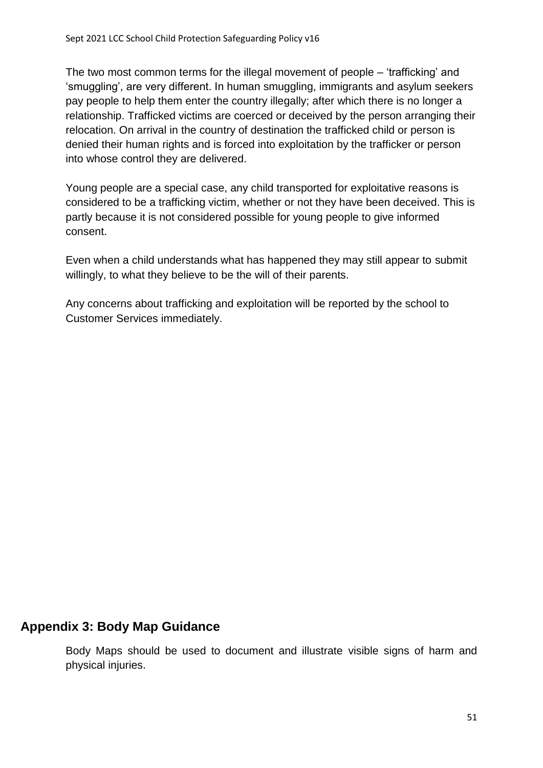The two most common terms for the illegal movement of people – 'trafficking' and 'smuggling', are very different. In human smuggling, immigrants and asylum seekers pay people to help them enter the country illegally; after which there is no longer a relationship. Trafficked victims are coerced or deceived by the person arranging their relocation. On arrival in the country of destination the trafficked child or person is denied their human rights and is forced into exploitation by the trafficker or person into whose control they are delivered.

Young people are a special case, any child transported for exploitative reasons is considered to be a trafficking victim, whether or not they have been deceived. This is partly because it is not considered possible for young people to give informed consent.

Even when a child understands what has happened they may still appear to submit willingly, to what they believe to be the will of their parents.

Any concerns about trafficking and exploitation will be reported by the school to Customer Services immediately.

# **Appendix 3: Body Map Guidance**

Body Maps should be used to document and illustrate visible signs of harm and physical injuries.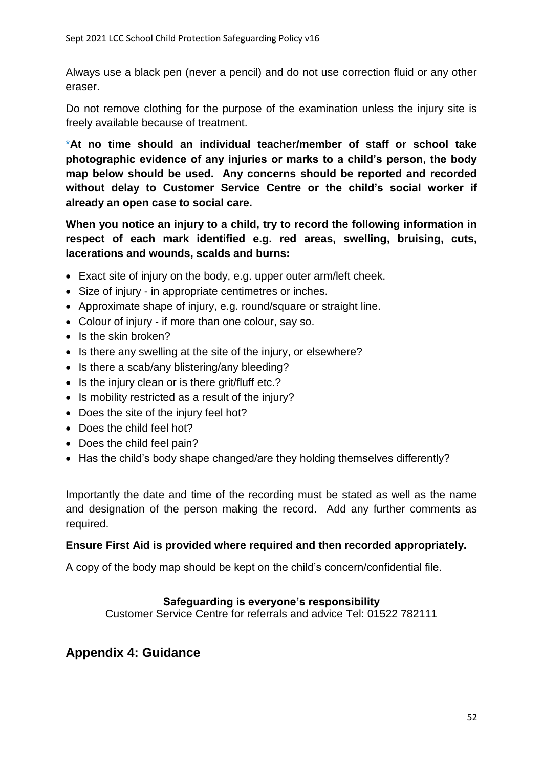Always use a black pen (never a pencil) and do not use correction fluid or any other eraser.

Do not remove clothing for the purpose of the examination unless the injury site is freely available because of treatment.

\***At no time should an individual teacher/member of staff or school take photographic evidence of any injuries or marks to a child's person, the body map below should be used. Any concerns should be reported and recorded without delay to Customer Service Centre or the child's social worker if already an open case to social care.**

**When you notice an injury to a child, try to record the following information in respect of each mark identified e.g. red areas, swelling, bruising, cuts, lacerations and wounds, scalds and burns:**

- Exact site of injury on the body, e.g. upper outer arm/left cheek.
- Size of injury in appropriate centimetres or inches.
- Approximate shape of injury, e.g. round/square or straight line.
- Colour of injury if more than one colour, say so.
- Is the skin broken?
- Is there any swelling at the site of the injury, or elsewhere?
- Is there a scab/any blistering/any bleeding?
- Is the injury clean or is there grit/fluff etc.?
- Is mobility restricted as a result of the injury?
- Does the site of the injury feel hot?
- Does the child feel hot?
- Does the child feel pain?
- Has the child's body shape changed/are they holding themselves differently?

Importantly the date and time of the recording must be stated as well as the name and designation of the person making the record. Add any further comments as required.

#### **Ensure First Aid is provided where required and then recorded appropriately.**

A copy of the body map should be kept on the child's concern/confidential file.

#### **Safeguarding is everyone's responsibility**

Customer Service Centre for referrals and advice Tel: 01522 782111

### **Appendix 4: Guidance**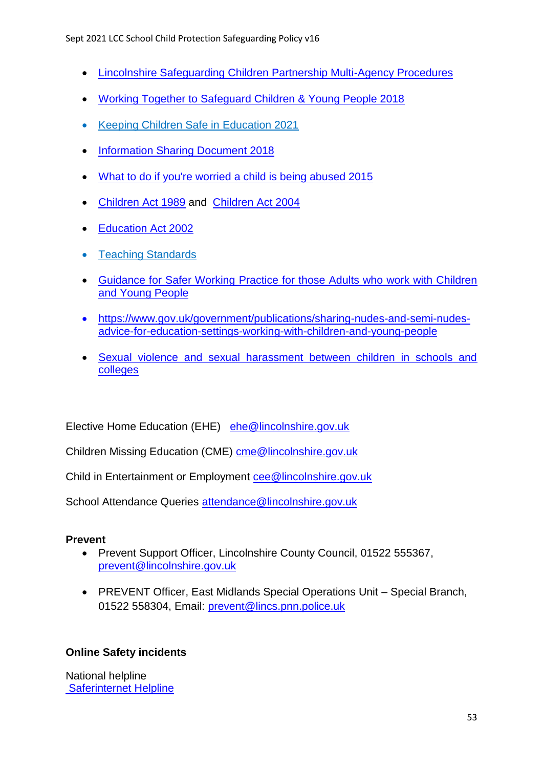- [Lincolnshire Safeguarding Children Partnership Multi-Agency Procedures](http://lincolnshirescb.proceduresonline.com/)
- [Working Together to Safeguard Children & Young People 2018](https://www.gov.uk/government/publications/working-together-to-safeguard-children--2)
- [Keeping Children Safe in](https://www.gov.uk/government/publications/keeping-children-safe-in-education--2) Education 2021
- [Information Sharing Document 2018](https://assets.publishing.service.gov.uk/government/uploads/system/uploads/attachment_data/file/721581/Information_sharing_advice_practitioners_safeguarding_services.pdf)
- [What to do if you're worried a child is being abused 2015](https://assets.publishing.service.gov.uk/government/uploads/system/uploads/attachment_data/file/419604/What_to_do_if_you_re_worried_a_child_is_being_abused.pdf)
- Children Act 1989 and [Children Act 2004](https://www.legislation.gov.uk/ukpga/2004/31/contents)
- [Education Act 2002](https://www.legislation.gov.uk/ukpga/2002/32/section/175)
- [Teaching Standards](https://assets.publishing.service.gov.uk/government/uploads/system/uploads/attachment_data/file/665522/Teachers_standard_information.pdf)
- Guidance for Safer Working [Practice for those Adults who work with Children](https://c-cluster-110.uploads.documents.cimpress.io/v1/uploads/13ecce28-e8f2-49e9-83c6-c29337cd8071~110/original?tenant=vbu-digital)  [and Young People](https://c-cluster-110.uploads.documents.cimpress.io/v1/uploads/13ecce28-e8f2-49e9-83c6-c29337cd8071~110/original?tenant=vbu-digital)
- [https://www.gov.uk/government/publications/sharing-nudes-and-semi-nudes](https://www.gov.uk/government/publications/sharing-nudes-and-semi-nudes-advice-for-education-settings-working-with-children-and-young-people)[advice-for-education-settings-working-with-children-and-young-people](https://www.gov.uk/government/publications/sharing-nudes-and-semi-nudes-advice-for-education-settings-working-with-children-and-young-people)
- [Sexual violence and sexual harassment between children in schools and](https://www.gov.uk/government/publications/sexual-violence-and-sexual-harassment-between-children-in-schools-and-colleges)  [colleges](https://www.gov.uk/government/publications/sexual-violence-and-sexual-harassment-between-children-in-schools-and-colleges)

Elective Home Education (EHE) [ehe@lincolnshire.gov.uk](mailto:attendance.pupilsupport@kirklees.gov.uk)

Children Missing Education (CME) [cme@lincolnshire.gov.uk](mailto:cme@lincolnshire.gov.uk)

Child in Entertainment or Employment [cee@lincolnshire.gov.uk](mailto:cee@lincolnshire.gov.uk)

School Attendance Queries [attendance@lincolnshire.gov.uk](mailto:attendance@lincolnshire.gov.uk)

### **Prevent**

- Prevent Support Officer, Lincolnshire County Council, 01522 555367, [prevent@lincolnshire.gov.uk](mailto:prevent@lincolnshire.gov.uk)
- PREVENT Officer, East Midlands Special Operations Unit Special Branch, 01522 558304, Email: [prevent@lincs.pnn.police.uk](mailto:prevent@lincs.pnn.police.uk)

### **Online Safety incidents**

National helpline [Saferinternet Helpline](https://www.saferinternet.org.uk/our-helplines)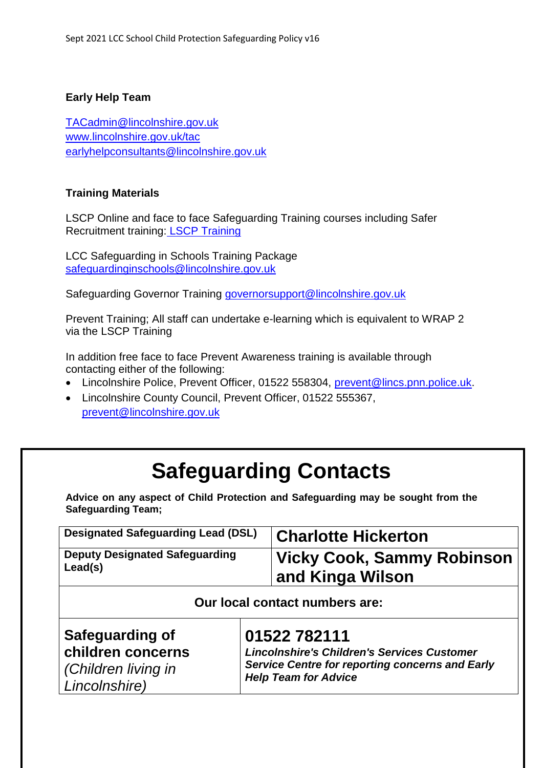### **Early Help Team**

[TACadmin@lincolnshire.gov.uk](mailto:TACadmin@lincolnshire.gov.uk)  [www.lincolnshire.gov.uk/tac](http://www.lincolnshire.gov.uk/tac) [earlyhelpconsultants@lincolnshire.gov.uk](mailto:earlyhelpconsultants@lincolnshire.gov.uk)

### **Training Materials**

LSCP Online and face to face Safeguarding Training courses including Safer Recruitment training: [LSCP Training](https://www.lincolnshire.gov.uk/safeguarding/lscp/3?documentId=258&categoryId=20076)

LCC Safeguarding in Schools Training Package [safeguardinginschools@lincolnshire.gov.uk](mailto:safeguardinginschools@lincolnshire.gov.uk)

Safeguarding Governor Training [governorsupport@lincolnshire.gov.uk](mailto:governorsupport@lincolnshire.gov.uk)

Prevent Training; All staff can undertake e-learning which is equivalent to WRAP 2 via the LSCP Training

In addition free face to face Prevent Awareness training is available through contacting either of the following:

- Lincolnshire Police, Prevent Officer, 01522 558304, [prevent@lincs.pnn.police.uk.](mailto:prevent@lincs.pnn.police.uk)
- Lincolnshire County Council, Prevent Officer, 01522 555367, [prevent@lincolnshire.gov.uk](mailto:prevent@lincolnshire.gov.uk)

# **Safeguarding Contacts**

**Advice on any aspect of Child Protection and Safeguarding may be sought from the Safeguarding Team;**

| <b>Designated Safeguarding Lead (DSL)</b>                                           |  | <b>Charlotte Hickerton</b>                                                                                                                                 |  |  |
|-------------------------------------------------------------------------------------|--|------------------------------------------------------------------------------------------------------------------------------------------------------------|--|--|
| <b>Deputy Designated Safeguarding</b><br>Lead(s)                                    |  | <b>Vicky Cook, Sammy Robinson</b><br>and Kinga Wilson                                                                                                      |  |  |
| Our local contact numbers are:                                                      |  |                                                                                                                                                            |  |  |
| <b>Safeguarding of</b><br>children concerns<br>(Children living in<br>Lincolnshire) |  | 01522782111<br><b>Lincolnshire's Children's Services Customer</b><br><b>Service Centre for reporting concerns and Early</b><br><b>Help Team for Advice</b> |  |  |